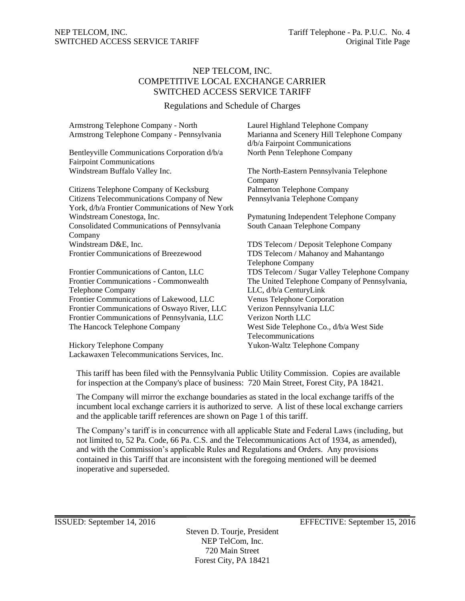# NEP TELCOM, INC. COMPETITIVE LOCAL EXCHANGE CARRIER SWITCHED ACCESS SERVICE TARIFF

Regulations and Schedule of Charges

| Armstrong Telephone Company - North                | Laurel Highland Telephone Company             |
|----------------------------------------------------|-----------------------------------------------|
| Armstrong Telephone Company - Pennsylvania         | Marianna and Scenery Hill Telephone Company   |
|                                                    | d/b/a Fairpoint Communications                |
| Bentleyville Communications Corporation d/b/a      | North Penn Telephone Company                  |
| <b>Fairpoint Communications</b>                    |                                               |
| Windstream Buffalo Valley Inc.                     | The North-Eastern Pennsylvania Telephone      |
|                                                    | Company                                       |
| Citizens Telephone Company of Kecksburg            | Palmerton Telephone Company                   |
| Citizens Telecommunications Company of New         | Pennsylvania Telephone Company                |
| York, d/b/a Frontier Communications of New York    |                                               |
| Windstream Conestoga, Inc.                         | Pymatuning Independent Telephone Company      |
| <b>Consolidated Communications of Pennsylvania</b> | South Canaan Telephone Company                |
| Company                                            |                                               |
| Windstream D&E, Inc.                               | TDS Telecom / Deposit Telephone Company       |
| <b>Frontier Communications of Breezewood</b>       | TDS Telecom / Mahanoy and Mahantango          |
|                                                    | <b>Telephone Company</b>                      |
| Frontier Communications of Canton, LLC             | TDS Telecom / Sugar Valley Telephone Company  |
| Frontier Communications - Commonwealth             | The United Telephone Company of Pennsylvania, |
| <b>Telephone Company</b>                           | LLC, d/b/a CenturyLink                        |
| Frontier Communications of Lakewood, LLC           | Venus Telephone Corporation                   |
| Frontier Communications of Oswayo River, LLC       | Verizon Pennsylvania LLC                      |
| Frontier Communications of Pennsylvania, LLC       | Verizon North LLC                             |
| The Hancock Telephone Company                      | West Side Telephone Co., d/b/a West Side      |
|                                                    |                                               |

Hickory Telephone Company Yukon-Waltz Telephone Company Lackawaxen Telecommunications Services, Inc.

The United Telephone Company of Pennsylvania, Telecommunications

This tariff has been filed with the Pennsylvania Public Utility Commission. Copies are available for inspection at the Company's place of business: 720 Main Street, Forest City, PA 18421.

The Company will mirror the exchange boundaries as stated in the local exchange tariffs of the incumbent local exchange carriers it is authorized to serve. A list of these local exchange carriers and the applicable tariff references are shown on Page 1 of this tariff.

The Company's tariff is in concurrence with all applicable State and Federal Laws (including, but not limited to, 52 Pa. Code, 66 Pa. C.S. and the Telecommunications Act of 1934, as amended), and with the Commission's applicable Rules and Regulations and Orders. Any provisions contained in this Tariff that are inconsistent with the foregoing mentioned will be deemed inoperative and superseded.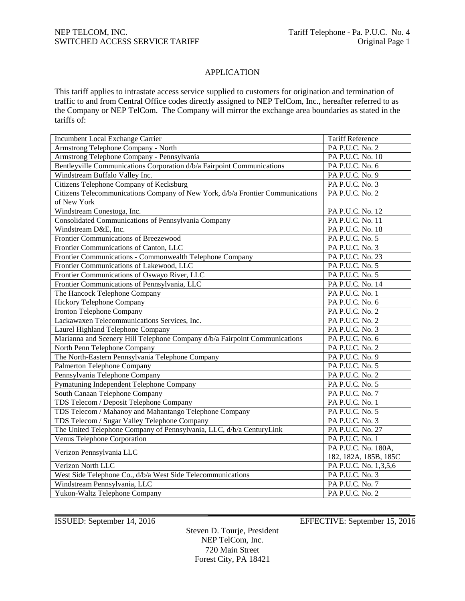# **APPLICATION**

This tariff applies to intrastate access service supplied to customers for origination and termination of traffic to and from Central Office codes directly assigned to NEP TelCom, Inc., hereafter referred to as the Company or NEP TelCom. The Company will mirror the exchange area boundaries as stated in the tariffs of:

| Incumbent Local Exchange Carrier                                               | <b>Tariff Reference</b> |
|--------------------------------------------------------------------------------|-------------------------|
| Armstrong Telephone Company - North                                            | PA P.U.C. No. 2         |
| Armstrong Telephone Company - Pennsylvania                                     | PA P.U.C. No. 10        |
| Bentleyville Communications Corporation d/b/a Fairpoint Communications         | PA P.U.C. No. 6         |
| Windstream Buffalo Valley Inc.                                                 | PA P.U.C. No. 9         |
| Citizens Telephone Company of Kecksburg                                        | PA P.U.C. No. 3         |
| Citizens Telecommunications Company of New York, d/b/a Frontier Communications | PA P.U.C. No. 2         |
| of New York                                                                    |                         |
| Windstream Conestoga, Inc.                                                     | PA P.U.C. No. 12        |
| Consolidated Communications of Pennsylvania Company                            | PA P.U.C. No. 11        |
| Windstream D&E, Inc.                                                           | PA P.U.C. No. 18        |
| Frontier Communications of Breezewood                                          | PA P.U.C. No. 5         |
| Frontier Communications of Canton, LLC                                         | PA P.U.C. No. 3         |
| Frontier Communications - Commonwealth Telephone Company                       | PA P.U.C. No. 23        |
| Frontier Communications of Lakewood, LLC                                       | PA P.U.C. No. 5         |
| Frontier Communications of Oswayo River, LLC                                   | PA P.U.C. No. 5         |
| Frontier Communications of Pennsylvania, LLC                                   | PA P.U.C. No. 14        |
| The Hancock Telephone Company                                                  | PA P.U.C. No. 1         |
| <b>Hickory Telephone Company</b>                                               | PA P.U.C. No. 6         |
| Ironton Telephone Company                                                      | PA P.U.C. No. 2         |
| Lackawaxen Telecommunications Services, Inc.                                   | PA P.U.C. No. 2         |
| Laurel Highland Telephone Company                                              | PA P.U.C. No. 3         |
| Marianna and Scenery Hill Telephone Company d/b/a Fairpoint Communications     | PA P.U.C. No. 6         |
| North Penn Telephone Company                                                   | PA P.U.C. No. 2         |
| The North-Eastern Pennsylvania Telephone Company                               | PA P.U.C. No. 9         |
| <b>Palmerton Telephone Company</b>                                             | PA P.U.C. No. 5         |
| Pennsylvania Telephone Company                                                 | PA P.U.C. No. 2         |
| Pymatuning Independent Telephone Company                                       | PA P.U.C. No. 5         |
| South Canaan Telephone Company                                                 | PA P.U.C. No. 7         |
| TDS Telecom / Deposit Telephone Company                                        | PA P.U.C. No. 1         |
| TDS Telecom / Mahanoy and Mahantango Telephone Company                         | PA P.U.C. No. 5         |
| TDS Telecom / Sugar Valley Telephone Company                                   | PA P.U.C. No. 3         |
| The United Telephone Company of Pennsylvania, LLC, d/b/a CenturyLink           | PA P.U.C. No. 27        |
| Venus Telephone Corporation                                                    | PA P.U.C. No. 1         |
|                                                                                | PA P.U.C. No. 180A,     |
| Verizon Pennsylvania LLC                                                       | 182, 182A, 185B, 185C   |
| Verizon North LLC                                                              | PA P.U.C. No. 1,3,5,6   |
| West Side Telephone Co., d/b/a West Side Telecommunications                    | PA P.U.C. No. 3         |
| Windstream Pennsylvania, LLC                                                   | PA P.U.C. No. 7         |
| Yukon-Waltz Telephone Company                                                  | PA P.U.C. No. 2         |

Steven D. Tourje, President NEP TelCom, Inc. 720 Main Street Forest City, PA 18421

ISSUED: September 14, 2016 EFFECTIVE: September 15, 2016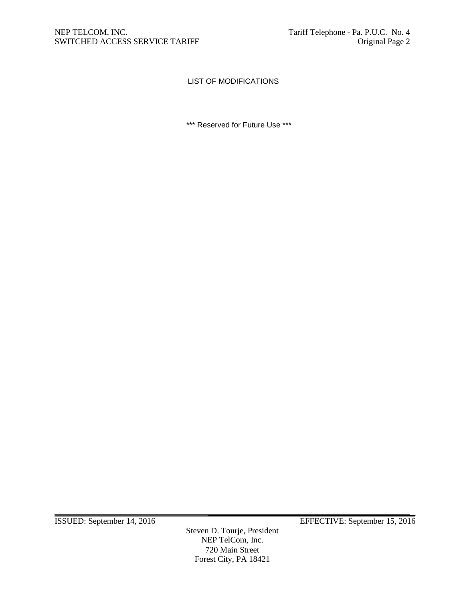# LIST OF MODIFICATIONS

\*\*\* Reserved for Future Use \*\*\*

Steven D. Tourje, President NEP TelCom, Inc. 720 Main Street Forest City, PA 18421

ISSUED: September 14, 2016 EFFECTIVE: September 15, 2016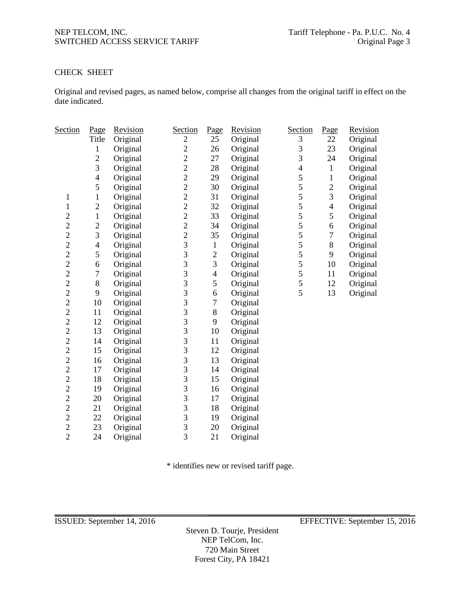# CHECK SHEET

Original and revised pages, as named below, comprise all changes from the original tariff in effect on the date indicated.

| <b>Section</b> | Page             | Revision | Section                                    | Page           | Revision | <b>Section</b>           | Page                     | Revision |
|----------------|------------------|----------|--------------------------------------------|----------------|----------|--------------------------|--------------------------|----------|
|                | Title            | Original | $\mathfrak{2}$                             | 25             | Original | 3                        | 22                       | Original |
|                | 1                | Original | $\overline{c}$                             | 26             | Original | 3                        | 23                       | Original |
|                | $\overline{2}$   | Original | $\overline{c}$                             | 27             | Original | 3                        | 24                       | Original |
|                | 3                | Original | $\overline{c}$                             | 28             | Original | $\overline{\mathcal{L}}$ | $\mathbf{1}$             | Original |
|                | $\overline{4}$   | Original | $\overline{c}$                             | 29             | Original | 5                        | $\,1$                    | Original |
|                | 5                | Original | $\overline{c}$                             | 30             | Original | 5                        | $\boldsymbol{2}$         | Original |
| $\mathbf{1}$   | $\mathbf{1}$     | Original | $\overline{c}$                             | 31             | Original | 5                        | 3                        | Original |
| $\mathbf{1}$   | $\overline{2}$   | Original | $\overline{c}$                             | 32             | Original | 5                        | $\overline{\mathcal{L}}$ | Original |
| $\overline{c}$ | $\mathbf{1}$     | Original | $\overline{c}$                             | 33             | Original | 5                        | 5                        | Original |
| $\overline{c}$ | $\overline{c}$   | Original | $\overline{c}$                             | 34             | Original | 5                        | 6                        | Original |
| $\overline{c}$ | 3                | Original | $\begin{array}{c} 2 \\ 3 \\ 3 \end{array}$ | 35             | Original | 5                        | $\boldsymbol{7}$         | Original |
| $\overline{c}$ | $\overline{4}$   | Original |                                            | $\mathbf{1}$   | Original | 5                        | $8\,$                    | Original |
| $\overline{c}$ | 5                | Original |                                            | $\overline{c}$ | Original | 5                        | 9                        | Original |
| $\overline{c}$ | 6                | Original | 3                                          | 3              | Original | 5                        | 10                       | Original |
| $\overline{2}$ | $\boldsymbol{7}$ | Original | $\overline{3}$                             | $\overline{4}$ | Original | 5                        | 11                       | Original |
| $\overline{c}$ | 8                | Original | 3                                          | 5              | Original | 5                        | 12                       | Original |
| $\overline{c}$ | 9                | Original | 3                                          | 6              | Original | 5                        | 13                       | Original |
| $\overline{c}$ | 10               | Original | $\frac{3}{3}$                              | $\tau$         | Original |                          |                          |          |
| $\overline{c}$ | 11               | Original |                                            | $8\,$          | Original |                          |                          |          |
| $\overline{c}$ | 12               | Original | $\overline{3}$                             | 9              | Original |                          |                          |          |
| $\overline{c}$ | 13               | Original | 3                                          | 10             | Original |                          |                          |          |
| $\overline{c}$ | 14               | Original | 3                                          | 11             | Original |                          |                          |          |
| $\overline{c}$ | 15               | Original | 3                                          | 12             | Original |                          |                          |          |
| $\overline{c}$ | 16               | Original | 3                                          | 13             | Original |                          |                          |          |
| $\overline{c}$ | 17               | Original | 3                                          | 14             | Original |                          |                          |          |
| $\overline{c}$ | 18               | Original | $\overline{3}$                             | 15             | Original |                          |                          |          |
| $\overline{c}$ | 19               | Original | 3                                          | 16             | Original |                          |                          |          |
| $\overline{c}$ | 20               | Original | 3                                          | 17             | Original |                          |                          |          |
| $\overline{c}$ | 21               | Original | 3                                          | 18             | Original |                          |                          |          |
| $\overline{c}$ | 22               | Original | $\overline{3}$                             | 19             | Original |                          |                          |          |
| $\overline{c}$ | 23               | Original | 3                                          | 20             | Original |                          |                          |          |
| $\overline{2}$ | 24               | Original | 3                                          | 21             | Original |                          |                          |          |

\* identifies new or revised tariff page.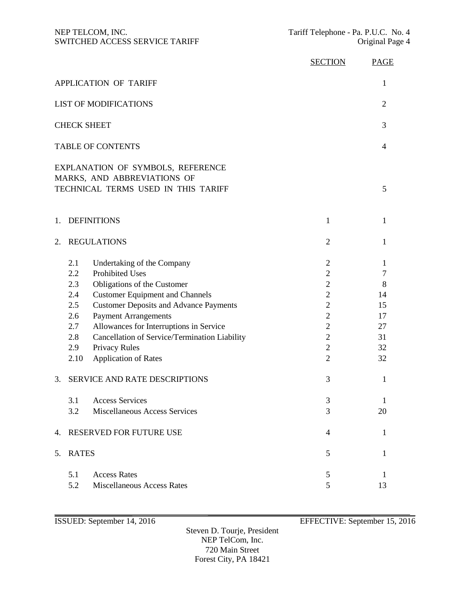|                              |                                                                     |                                                                                                                                                                                                                                                                                                                                                           | <b>SECTION</b>                                                                                                                                                      | <b>PAGE</b>                                                |
|------------------------------|---------------------------------------------------------------------|-----------------------------------------------------------------------------------------------------------------------------------------------------------------------------------------------------------------------------------------------------------------------------------------------------------------------------------------------------------|---------------------------------------------------------------------------------------------------------------------------------------------------------------------|------------------------------------------------------------|
|                              |                                                                     | <b>APPLICATION OF TARIFF</b>                                                                                                                                                                                                                                                                                                                              |                                                                                                                                                                     | 1                                                          |
| <b>LIST OF MODIFICATIONS</b> | $\overline{2}$                                                      |                                                                                                                                                                                                                                                                                                                                                           |                                                                                                                                                                     |                                                            |
|                              |                                                                     | <b>CHECK SHEET</b>                                                                                                                                                                                                                                                                                                                                        |                                                                                                                                                                     | 3                                                          |
|                              |                                                                     | <b>TABLE OF CONTENTS</b>                                                                                                                                                                                                                                                                                                                                  |                                                                                                                                                                     | 4                                                          |
|                              |                                                                     | EXPLANATION OF SYMBOLS, REFERENCE<br>MARKS, AND ABBREVIATIONS OF<br>TECHNICAL TERMS USED IN THIS TARIFF                                                                                                                                                                                                                                                   |                                                                                                                                                                     | 5                                                          |
| 1.                           |                                                                     | <b>DEFINITIONS</b>                                                                                                                                                                                                                                                                                                                                        | 1                                                                                                                                                                   | 1                                                          |
| 2.                           |                                                                     | <b>REGULATIONS</b>                                                                                                                                                                                                                                                                                                                                        | $\overline{2}$                                                                                                                                                      | 1                                                          |
|                              | 2.1<br>2.2<br>2.3<br>2.4<br>2.5<br>2.6<br>2.7<br>2.8<br>2.9<br>2.10 | Undertaking of the Company<br><b>Prohibited Uses</b><br>Obligations of the Customer<br><b>Customer Equipment and Channels</b><br><b>Customer Deposits and Advance Payments</b><br><b>Payment Arrangements</b><br>Allowances for Interruptions in Service<br>Cancellation of Service/Termination Liability<br>Privacy Rules<br><b>Application of Rates</b> | 2<br>$\overline{2}$<br>$\overline{c}$<br>$\overline{2}$<br>$\overline{2}$<br>$\overline{c}$<br>$\overline{2}$<br>$\overline{2}$<br>$\overline{2}$<br>$\overline{2}$ | 1<br>$\tau$<br>8<br>14<br>15<br>17<br>27<br>31<br>32<br>32 |
| 3.                           |                                                                     | <b>SERVICE AND RATE DESCRIPTIONS</b>                                                                                                                                                                                                                                                                                                                      | 3                                                                                                                                                                   | 1                                                          |
|                              | 3.1<br>3.2                                                          | <b>Access Services</b><br>Miscellaneous Access Services                                                                                                                                                                                                                                                                                                   | 3<br>3                                                                                                                                                              | 1<br>20                                                    |
| 4.                           |                                                                     | RESERVED FOR FUTURE USE                                                                                                                                                                                                                                                                                                                                   | 4                                                                                                                                                                   | 1                                                          |
| 5.                           | <b>RATES</b>                                                        |                                                                                                                                                                                                                                                                                                                                                           | 5                                                                                                                                                                   | 1                                                          |
|                              | 5.1<br>5.2                                                          | <b>Access Rates</b><br><b>Miscellaneous Access Rates</b>                                                                                                                                                                                                                                                                                                  | 5<br>5                                                                                                                                                              | 1<br>13                                                    |

ISSUED: September 14, 2016 EFFECTIVE: September 15, 2016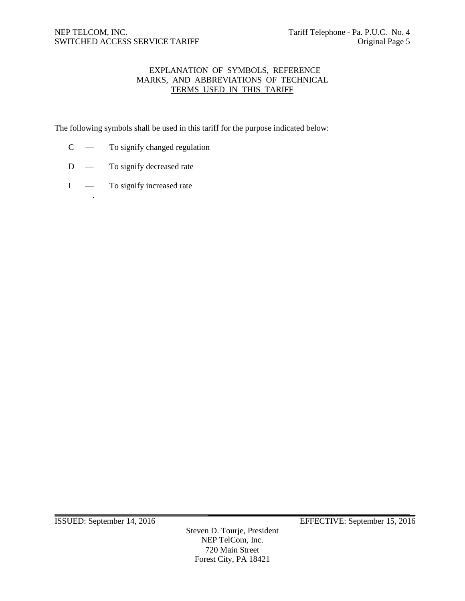# EXPLANATION OF SYMBOLS, REFERENCE MARKS, AND ABBREVIATIONS OF TECHNICAL TERMS USED IN THIS TARIFF

The following symbols shall be used in this tariff for the purpose indicated below:

- C To signify changed regulation
- D To signify decreased rate
- I To signify increased rate

.

Steven D. Tourje, President NEP TelCom, Inc. 720 Main Street Forest City, PA 18421

ISSUED: September 14, 2016 EFFECTIVE: September 15, 2016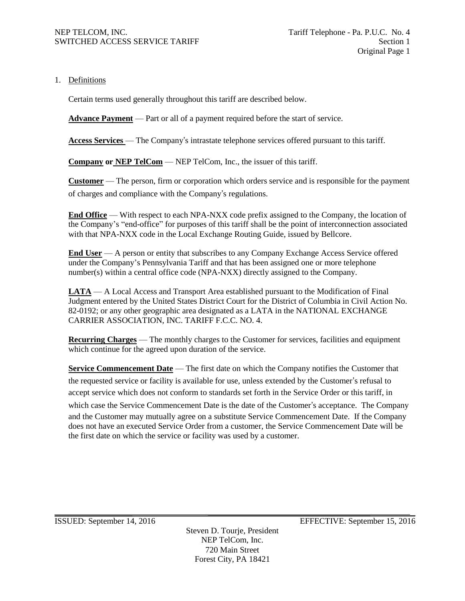1. Definitions

Certain terms used generally throughout this tariff are described below.

**Advance Payment** — Part or all of a payment required before the start of service.

**Access Services** — The Company's intrastate telephone services offered pursuant to this tariff.

**Company or NEP TelCom** — NEP TelCom, Inc., the issuer of this tariff.

**Customer** — The person, firm or corporation which orders service and is responsible for the payment of charges and compliance with the Company's regulations.

**End Office** — With respect to each NPA-NXX code prefix assigned to the Company, the location of the Company's "end-office" for purposes of this tariff shall be the point of interconnection associated with that NPA-NXX code in the Local Exchange Routing Guide, issued by Bellcore.

**End User** — A person or entity that subscribes to any Company Exchange Access Service offered under the Company's Pennsylvania Tariff and that has been assigned one or more telephone number(s) within a central office code (NPA-NXX) directly assigned to the Company.

**LATA** — A Local Access and Transport Area established pursuant to the Modification of Final Judgment entered by the United States District Court for the District of Columbia in Civil Action No. 82-0192; or any other geographic area designated as a LATA in the NATIONAL EXCHANGE CARRIER ASSOCIATION, INC. TARIFF F.C.C. NO. 4.

**Recurring Charges** — The monthly charges to the Customer for services, facilities and equipment which continue for the agreed upon duration of the service.

**Service Commencement Date** — The first date on which the Company notifies the Customer that the requested service or facility is available for use, unless extended by the Customer's refusal to accept service which does not conform to standards set forth in the Service Order or this tariff, in which case the Service Commencement Date is the date of the Customer's acceptance. The Company and the Customer may mutually agree on a substitute Service Commencement Date. If the Company does not have an executed Service Order from a customer, the Service Commencement Date will be the first date on which the service or facility was used by a customer.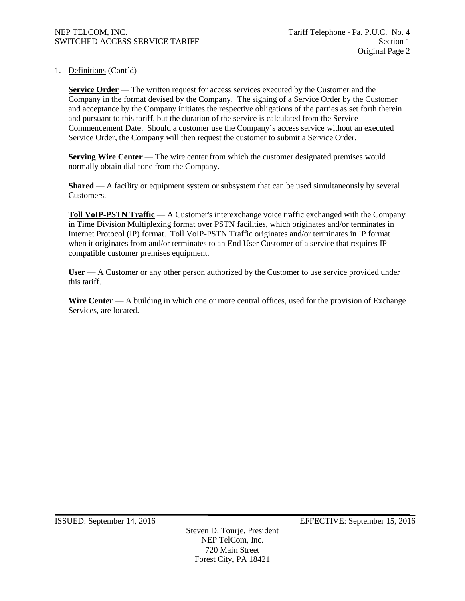1. Definitions (Cont'd)

**Service Order** — The written request for access services executed by the Customer and the Company in the format devised by the Company. The signing of a Service Order by the Customer and acceptance by the Company initiates the respective obligations of the parties as set forth therein and pursuant to this tariff, but the duration of the service is calculated from the Service Commencement Date. Should a customer use the Company's access service without an executed Service Order, the Company will then request the customer to submit a Service Order.

**Serving Wire Center** — The wire center from which the customer designated premises would normally obtain dial tone from the Company.

**Shared** — A facility or equipment system or subsystem that can be used simultaneously by several Customers.

**Toll VoIP-PSTN Traffic** — A Customer's interexchange voice traffic exchanged with the Company in Time Division Multiplexing format over PSTN facilities, which originates and/or terminates in Internet Protocol (IP) format. Toll VoIP-PSTN Traffic originates and/or terminates in IP format when it originates from and/or terminates to an End User Customer of a service that requires IPcompatible customer premises equipment.

**User** — A Customer or any other person authorized by the Customer to use service provided under this tariff.

**Wire Center** — A building in which one or more central offices, used for the provision of Exchange Services, are located.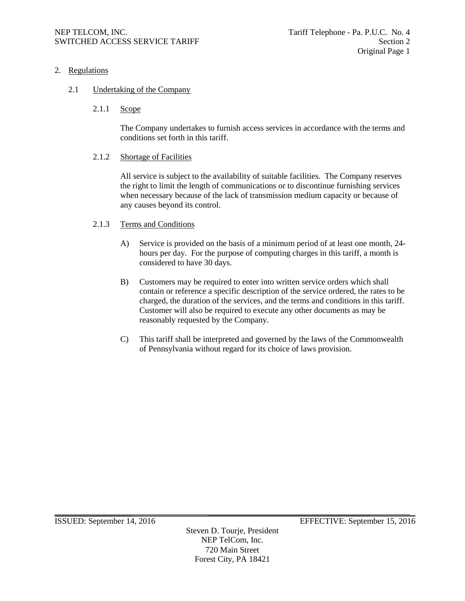# 2. Regulations

# 2.1 Undertaking of the Company

2.1.1 Scope

The Company undertakes to furnish access services in accordance with the terms and conditions set forth in this tariff.

# 2.1.2 Shortage of Facilities

All service is subject to the availability of suitable facilities. The Company reserves the right to limit the length of communications or to discontinue furnishing services when necessary because of the lack of transmission medium capacity or because of any causes beyond its control.

# 2.1.3 Terms and Conditions

- A) Service is provided on the basis of a minimum period of at least one month, 24 hours per day. For the purpose of computing charges in this tariff, a month is considered to have 30 days.
- B) Customers may be required to enter into written service orders which shall contain or reference a specific description of the service ordered, the rates to be charged, the duration of the services, and the terms and conditions in this tariff. Customer will also be required to execute any other documents as may be reasonably requested by the Company.
- C) This tariff shall be interpreted and governed by the laws of the Commonwealth of Pennsylvania without regard for its choice of laws provision.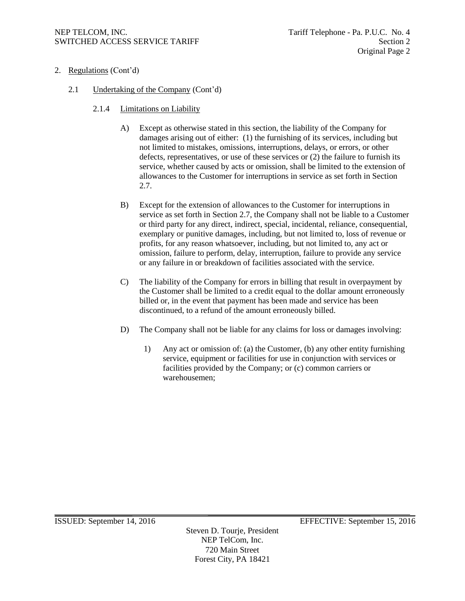- 2. Regulations (Cont'd)
	- 2.1 Undertaking of the Company (Cont'd)
		- 2.1.4 Limitations on Liability
			- A) Except as otherwise stated in this section, the liability of the Company for damages arising out of either: (1) the furnishing of its services, including but not limited to mistakes, omissions, interruptions, delays, or errors, or other defects, representatives, or use of these services or (2) the failure to furnish its service, whether caused by acts or omission, shall be limited to the extension of allowances to the Customer for interruptions in service as set forth in Section 2.7.
			- B) Except for the extension of allowances to the Customer for interruptions in service as set forth in Section 2.7, the Company shall not be liable to a Customer or third party for any direct, indirect, special, incidental, reliance, consequential, exemplary or punitive damages, including, but not limited to, loss of revenue or profits, for any reason whatsoever, including, but not limited to, any act or omission, failure to perform, delay, interruption, failure to provide any service or any failure in or breakdown of facilities associated with the service.
			- C) The liability of the Company for errors in billing that result in overpayment by the Customer shall be limited to a credit equal to the dollar amount erroneously billed or, in the event that payment has been made and service has been discontinued, to a refund of the amount erroneously billed.
			- D) The Company shall not be liable for any claims for loss or damages involving:
				- 1) Any act or omission of: (a) the Customer, (b) any other entity furnishing service, equipment or facilities for use in conjunction with services or facilities provided by the Company; or (c) common carriers or warehousemen;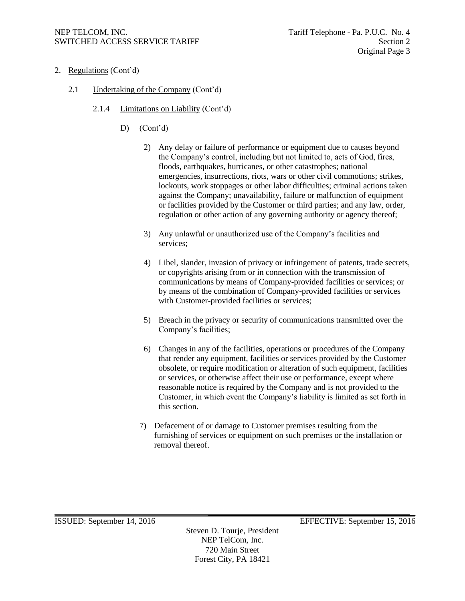- 2. Regulations (Cont'd)
	- 2.1 Undertaking of the Company (Cont'd)
		- 2.1.4 Limitations on Liability (Cont'd)
			- D) (Cont'd)
				- 2) Any delay or failure of performance or equipment due to causes beyond the Company's control, including but not limited to, acts of God, fires, floods, earthquakes, hurricanes, or other catastrophes; national emergencies, insurrections, riots, wars or other civil commotions; strikes, lockouts, work stoppages or other labor difficulties; criminal actions taken against the Company; unavailability, failure or malfunction of equipment or facilities provided by the Customer or third parties; and any law, order, regulation or other action of any governing authority or agency thereof;
				- 3) Any unlawful or unauthorized use of the Company's facilities and services;
				- 4) Libel, slander, invasion of privacy or infringement of patents, trade secrets, or copyrights arising from or in connection with the transmission of communications by means of Company-provided facilities or services; or by means of the combination of Company-provided facilities or services with Customer-provided facilities or services;
				- 5) Breach in the privacy or security of communications transmitted over the Company's facilities;
				- 6) Changes in any of the facilities, operations or procedures of the Company that render any equipment, facilities or services provided by the Customer obsolete, or require modification or alteration of such equipment, facilities or services, or otherwise affect their use or performance, except where reasonable notice is required by the Company and is not provided to the Customer, in which event the Company's liability is limited as set forth in this section.
				- 7) Defacement of or damage to Customer premises resulting from the furnishing of services or equipment on such premises or the installation or removal thereof.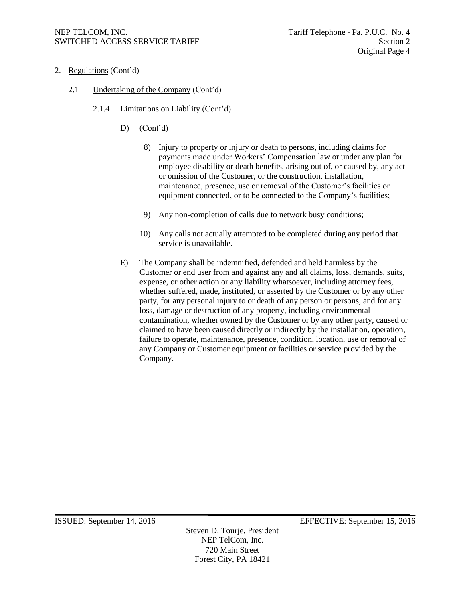- 2. Regulations (Cont'd)
	- 2.1 Undertaking of the Company (Cont'd)
		- 2.1.4 Limitations on Liability (Cont'd)
			- D) (Cont'd)
				- 8) Injury to property or injury or death to persons, including claims for payments made under Workers' Compensation law or under any plan for employee disability or death benefits, arising out of, or caused by, any act or omission of the Customer, or the construction, installation, maintenance, presence, use or removal of the Customer's facilities or equipment connected, or to be connected to the Company's facilities;
				- 9) Any non-completion of calls due to network busy conditions;
				- 10) Any calls not actually attempted to be completed during any period that service is unavailable.
			- E) The Company shall be indemnified, defended and held harmless by the Customer or end user from and against any and all claims, loss, demands, suits, expense, or other action or any liability whatsoever, including attorney fees, whether suffered, made, instituted, or asserted by the Customer or by any other party, for any personal injury to or death of any person or persons, and for any loss, damage or destruction of any property, including environmental contamination, whether owned by the Customer or by any other party, caused or claimed to have been caused directly or indirectly by the installation, operation, failure to operate, maintenance, presence, condition, location, use or removal of any Company or Customer equipment or facilities or service provided by the Company.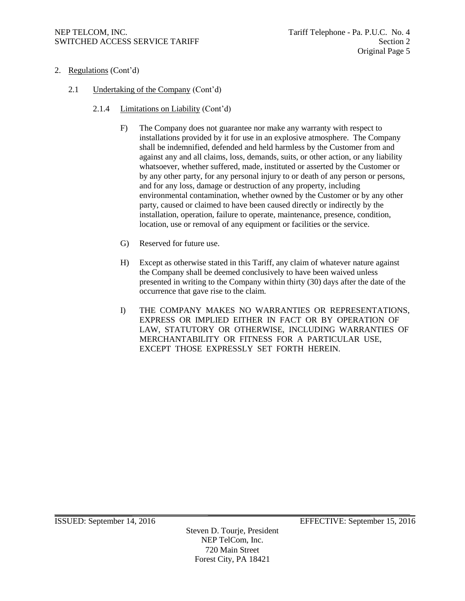# NEP TELCOM, INC.<br>SWITCHED ACCESS SERVICE TARIFF SERIES AND TAGGED ACCESS SERVICE TARIFF SWITCHED ACCESS SERVICE TARIFF

- 2. Regulations (Cont'd)
	- 2.1 Undertaking of the Company (Cont'd)
		- 2.1.4 Limitations on Liability (Cont'd)
			- F) The Company does not guarantee nor make any warranty with respect to installations provided by it for use in an explosive atmosphere. The Company shall be indemnified, defended and held harmless by the Customer from and against any and all claims, loss, demands, suits, or other action, or any liability whatsoever, whether suffered, made, instituted or asserted by the Customer or by any other party, for any personal injury to or death of any person or persons, and for any loss, damage or destruction of any property, including environmental contamination, whether owned by the Customer or by any other party, caused or claimed to have been caused directly or indirectly by the installation, operation, failure to operate, maintenance, presence, condition, location, use or removal of any equipment or facilities or the service.
			- G) Reserved for future use.
			- H) Except as otherwise stated in this Tariff, any claim of whatever nature against the Company shall be deemed conclusively to have been waived unless presented in writing to the Company within thirty (30) days after the date of the occurrence that gave rise to the claim.
			- I) THE COMPANY MAKES NO WARRANTIES OR REPRESENTATIONS, EXPRESS OR IMPLIED EITHER IN FACT OR BY OPERATION OF LAW, STATUTORY OR OTHERWISE, INCLUDING WARRANTIES OF MERCHANTABILITY OR FITNESS FOR A PARTICULAR USE, EXCEPT THOSE EXPRESSLY SET FORTH HEREIN.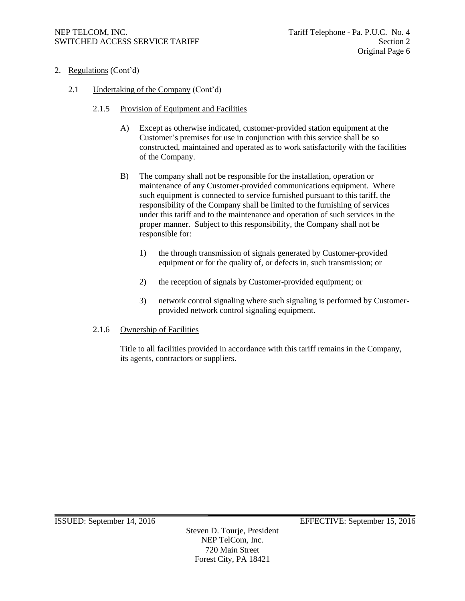# NEP TELCOM, INC.<br>SWITCHED ACCESS SERVICE TARIFF SERIES AND TAGGED ACCESS SERVICE TARIFF SWITCHED ACCESS SERVICE TARIFF

- 2. Regulations (Cont'd)
	- 2.1 Undertaking of the Company (Cont'd)
		- 2.1.5 Provision of Equipment and Facilities
			- A) Except as otherwise indicated, customer-provided station equipment at the Customer's premises for use in conjunction with this service shall be so constructed, maintained and operated as to work satisfactorily with the facilities of the Company.
			- B) The company shall not be responsible for the installation, operation or maintenance of any Customer-provided communications equipment. Where such equipment is connected to service furnished pursuant to this tariff, the responsibility of the Company shall be limited to the furnishing of services under this tariff and to the maintenance and operation of such services in the proper manner. Subject to this responsibility, the Company shall not be responsible for:
				- 1) the through transmission of signals generated by Customer-provided equipment or for the quality of, or defects in, such transmission; or
				- 2) the reception of signals by Customer-provided equipment; or
				- 3) network control signaling where such signaling is performed by Customerprovided network control signaling equipment.

#### 2.1.6 Ownership of Facilities

Title to all facilities provided in accordance with this tariff remains in the Company, its agents, contractors or suppliers.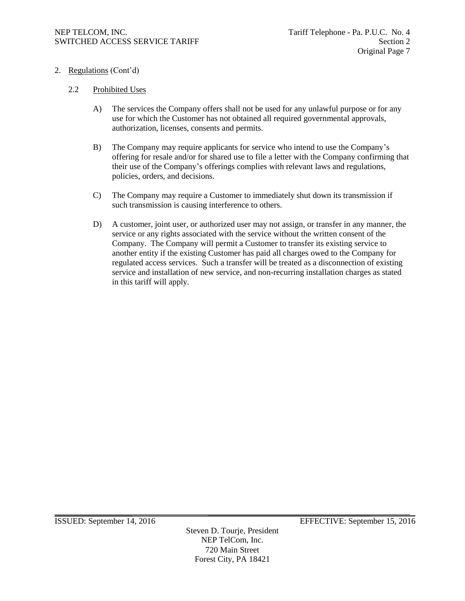- 2. Regulations (Cont'd)
	- 2.2 Prohibited Uses
		- A) The services the Company offers shall not be used for any unlawful purpose or for any use for which the Customer has not obtained all required governmental approvals, authorization, licenses, consents and permits.
		- B) The Company may require applicants for service who intend to use the Company's offering for resale and/or for shared use to file a letter with the Company confirming that their use of the Company's offerings complies with relevant laws and regulations, policies, orders, and decisions.
		- C) The Company may require a Customer to immediately shut down its transmission if such transmission is causing interference to others.
		- D) A customer, joint user, or authorized user may not assign, or transfer in any manner, the service or any rights associated with the service without the written consent of the Company. The Company will permit a Customer to transfer its existing service to another entity if the existing Customer has paid all charges owed to the Company for regulated access services. Such a transfer will be treated as a disconnection of existing service and installation of new service, and non-recurring installation charges as stated in this tariff will apply.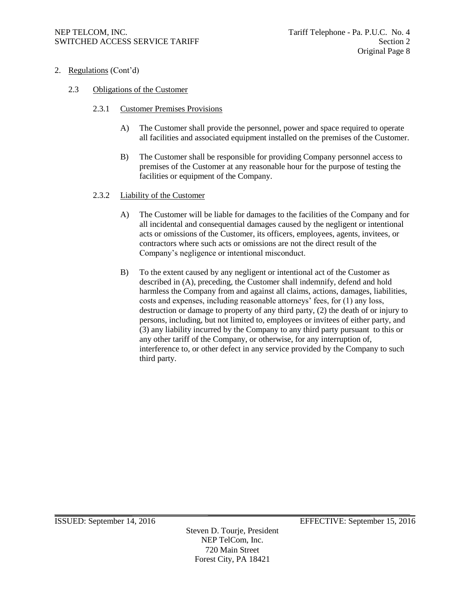- 2. Regulations (Cont'd)
	- 2.3 Obligations of the Customer
		- 2.3.1 Customer Premises Provisions
			- A) The Customer shall provide the personnel, power and space required to operate all facilities and associated equipment installed on the premises of the Customer.
			- B) The Customer shall be responsible for providing Company personnel access to premises of the Customer at any reasonable hour for the purpose of testing the facilities or equipment of the Company.

#### 2.3.2 Liability of the Customer

- A) The Customer will be liable for damages to the facilities of the Company and for all incidental and consequential damages caused by the negligent or intentional acts or omissions of the Customer, its officers, employees, agents, invitees, or contractors where such acts or omissions are not the direct result of the Company's negligence or intentional misconduct.
- B) To the extent caused by any negligent or intentional act of the Customer as described in (A), preceding, the Customer shall indemnify, defend and hold harmless the Company from and against all claims, actions, damages, liabilities, costs and expenses, including reasonable attorneys' fees, for (1) any loss, destruction or damage to property of any third party, (2) the death of or injury to persons, including, but not limited to, employees or invitees of either party, and (3) any liability incurred by the Company to any third party pursuant to this or any other tariff of the Company, or otherwise, for any interruption of, interference to, or other defect in any service provided by the Company to such third party.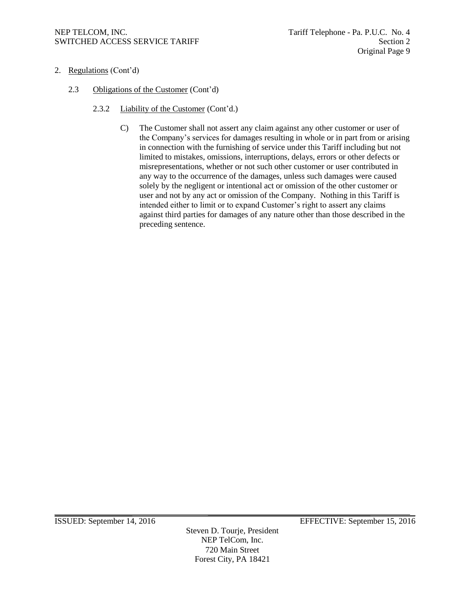- 2. Regulations (Cont'd)
	- 2.3 Obligations of the Customer (Cont'd)
		- 2.3.2 Liability of the Customer (Cont'd.)
			- C) The Customer shall not assert any claim against any other customer or user of the Company's services for damages resulting in whole or in part from or arising in connection with the furnishing of service under this Tariff including but not limited to mistakes, omissions, interruptions, delays, errors or other defects or misrepresentations, whether or not such other customer or user contributed in any way to the occurrence of the damages, unless such damages were caused solely by the negligent or intentional act or omission of the other customer or user and not by any act or omission of the Company. Nothing in this Tariff is intended either to limit or to expand Customer's right to assert any claims against third parties for damages of any nature other than those described in the preceding sentence.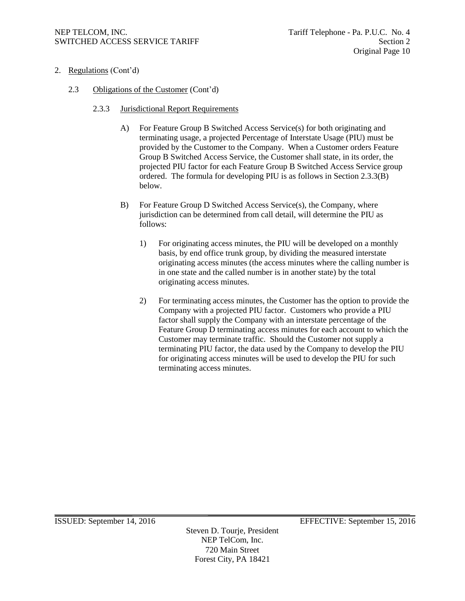- 2. Regulations (Cont'd)
	- 2.3 Obligations of the Customer (Cont'd)
		- 2.3.3 Jurisdictional Report Requirements
			- A) For Feature Group B Switched Access Service(s) for both originating and terminating usage, a projected Percentage of Interstate Usage (PIU) must be provided by the Customer to the Company. When a Customer orders Feature Group B Switched Access Service, the Customer shall state, in its order, the projected PIU factor for each Feature Group B Switched Access Service group ordered. The formula for developing PIU is as follows in Section 2.3.3(B) below.
			- B) For Feature Group D Switched Access Service(s), the Company, where jurisdiction can be determined from call detail, will determine the PIU as follows:
				- 1) For originating access minutes, the PIU will be developed on a monthly basis, by end office trunk group, by dividing the measured interstate originating access minutes (the access minutes where the calling number is in one state and the called number is in another state) by the total originating access minutes.
				- 2) For terminating access minutes, the Customer has the option to provide the Company with a projected PIU factor. Customers who provide a PIU factor shall supply the Company with an interstate percentage of the Feature Group D terminating access minutes for each account to which the Customer may terminate traffic. Should the Customer not supply a terminating PIU factor, the data used by the Company to develop the PIU for originating access minutes will be used to develop the PIU for such terminating access minutes.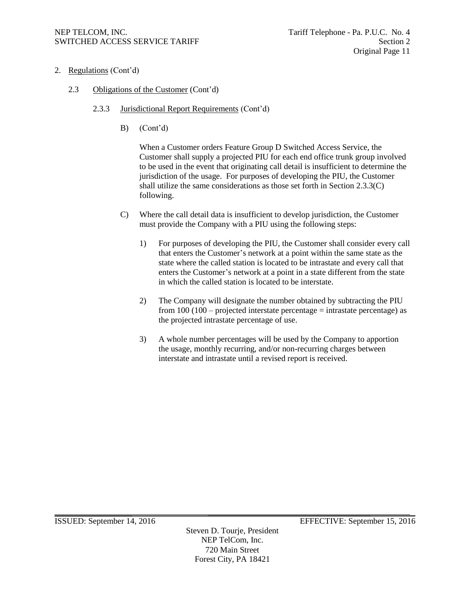- 2. Regulations (Cont'd)
	- 2.3 Obligations of the Customer (Cont'd)
		- 2.3.3 Jurisdictional Report Requirements (Cont'd)
			- B) (Cont'd)

When a Customer orders Feature Group D Switched Access Service, the Customer shall supply a projected PIU for each end office trunk group involved to be used in the event that originating call detail is insufficient to determine the jurisdiction of the usage. For purposes of developing the PIU, the Customer shall utilize the same considerations as those set forth in Section 2.3.3(C) following.

- C) Where the call detail data is insufficient to develop jurisdiction, the Customer must provide the Company with a PIU using the following steps:
	- 1) For purposes of developing the PIU, the Customer shall consider every call that enters the Customer's network at a point within the same state as the state where the called station is located to be intrastate and every call that enters the Customer's network at a point in a state different from the state in which the called station is located to be interstate.
	- 2) The Company will designate the number obtained by subtracting the PIU from 100 (100 – projected interstate percentage = intrastate percentage) as the projected intrastate percentage of use.
	- 3) A whole number percentages will be used by the Company to apportion the usage, monthly recurring, and/or non-recurring charges between interstate and intrastate until a revised report is received.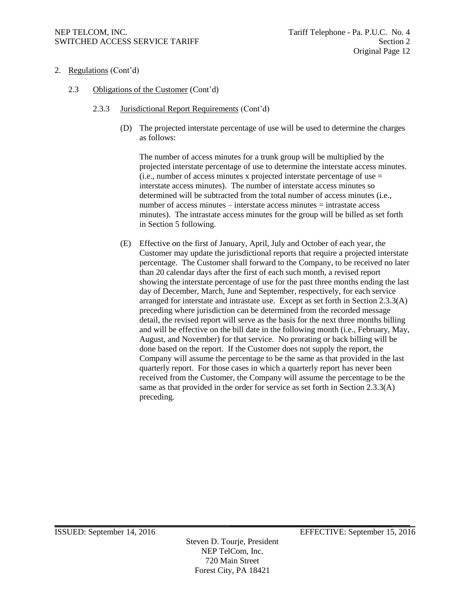# NEP TELCOM, INC.  $\qquad \qquad$  Tariff Telephone - Pa. P.U.C. No. 4 SWITCHED ACCESS SERVICE TARIFF SECTION AND Section 2

- 2. Regulations (Cont'd)
	- 2.3 Obligations of the Customer (Cont'd)
		- 2.3.3 Jurisdictional Report Requirements (Cont'd)
			- (D) The projected interstate percentage of use will be used to determine the charges as follows:

The number of access minutes for a trunk group will be multiplied by the projected interstate percentage of use to determine the interstate access minutes.  $(i.e., number of access minutes x projected interest are percentage of use =$ interstate access minutes). The number of interstate access minutes so determined will be subtracted from the total number of access minutes (i.e., number of access minutes – interstate access minutes = intrastate access minutes). The intrastate access minutes for the group will be billed as set forth in Section 5 following.

(E) Effective on the first of January, April, July and October of each year, the Customer may update the jurisdictional reports that require a projected interstate percentage. The Customer shall forward to the Company, to be received no later than 20 calendar days after the first of each such month, a revised report showing the interstate percentage of use for the past three months ending the last day of December, March, June and September, respectively, for each service arranged for interstate and intrastate use. Except as set forth in Section 2.3.3(A) preceding where jurisdiction can be determined from the recorded message detail, the revised report will serve as the basis for the next three months billing and will be effective on the bill date in the following month (i.e., February, May, August, and November) for that service. No prorating or back billing will be done based on the report. If the Customer does not supply the report, the Company will assume the percentage to be the same as that provided in the last quarterly report. For those cases in which a quarterly report has never been received from the Customer, the Company will assume the percentage to be the same as that provided in the order for service as set forth in Section 2.3.3(A) preceding.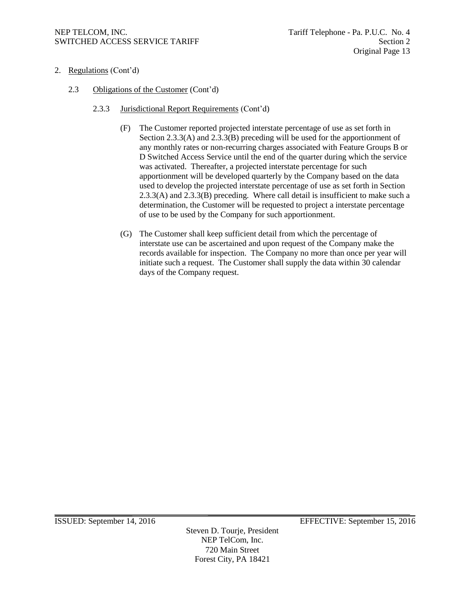- 2. Regulations (Cont'd)
	- 2.3 Obligations of the Customer (Cont'd)
		- 2.3.3 Jurisdictional Report Requirements (Cont'd)
			- (F) The Customer reported projected interstate percentage of use as set forth in Section 2.3.3(A) and 2.3.3(B) preceding will be used for the apportionment of any monthly rates or non-recurring charges associated with Feature Groups B or D Switched Access Service until the end of the quarter during which the service was activated. Thereafter, a projected interstate percentage for such apportionment will be developed quarterly by the Company based on the data used to develop the projected interstate percentage of use as set forth in Section 2.3.3(A) and 2.3.3(B) preceding. Where call detail is insufficient to make such a determination, the Customer will be requested to project a interstate percentage of use to be used by the Company for such apportionment.
			- (G) The Customer shall keep sufficient detail from which the percentage of interstate use can be ascertained and upon request of the Company make the records available for inspection. The Company no more than once per year will initiate such a request. The Customer shall supply the data within 30 calendar days of the Company request.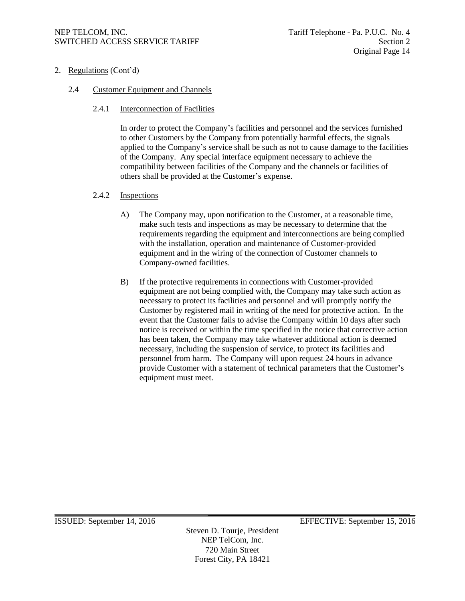2. Regulations (Cont'd)

# 2.4 Customer Equipment and Channels

2.4.1 Interconnection of Facilities

In order to protect the Company's facilities and personnel and the services furnished to other Customers by the Company from potentially harmful effects, the signals applied to the Company's service shall be such as not to cause damage to the facilities of the Company. Any special interface equipment necessary to achieve the compatibility between facilities of the Company and the channels or facilities of others shall be provided at the Customer's expense.

# 2.4.2 Inspections

- A) The Company may, upon notification to the Customer, at a reasonable time, make such tests and inspections as may be necessary to determine that the requirements regarding the equipment and interconnections are being complied with the installation, operation and maintenance of Customer-provided equipment and in the wiring of the connection of Customer channels to Company-owned facilities.
- B) If the protective requirements in connections with Customer-provided equipment are not being complied with, the Company may take such action as necessary to protect its facilities and personnel and will promptly notify the Customer by registered mail in writing of the need for protective action. In the event that the Customer fails to advise the Company within 10 days after such notice is received or within the time specified in the notice that corrective action has been taken, the Company may take whatever additional action is deemed necessary, including the suspension of service, to protect its facilities and personnel from harm. The Company will upon request 24 hours in advance provide Customer with a statement of technical parameters that the Customer's equipment must meet.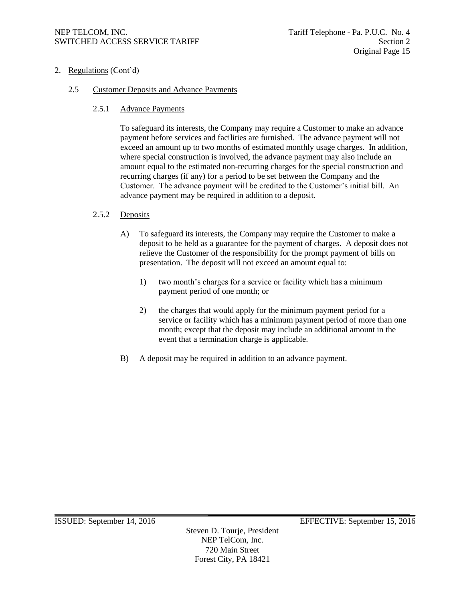2. Regulations (Cont'd)

# 2.5 Customer Deposits and Advance Payments

2.5.1 Advance Payments

To safeguard its interests, the Company may require a Customer to make an advance payment before services and facilities are furnished. The advance payment will not exceed an amount up to two months of estimated monthly usage charges. In addition, where special construction is involved, the advance payment may also include an amount equal to the estimated non-recurring charges for the special construction and recurring charges (if any) for a period to be set between the Company and the Customer. The advance payment will be credited to the Customer's initial bill. An advance payment may be required in addition to a deposit.

# 2.5.2 Deposits

- A) To safeguard its interests, the Company may require the Customer to make a deposit to be held as a guarantee for the payment of charges. A deposit does not relieve the Customer of the responsibility for the prompt payment of bills on presentation. The deposit will not exceed an amount equal to:
	- 1) two month's charges for a service or facility which has a minimum payment period of one month; or
	- 2) the charges that would apply for the minimum payment period for a service or facility which has a minimum payment period of more than one month; except that the deposit may include an additional amount in the event that a termination charge is applicable.
- B) A deposit may be required in addition to an advance payment.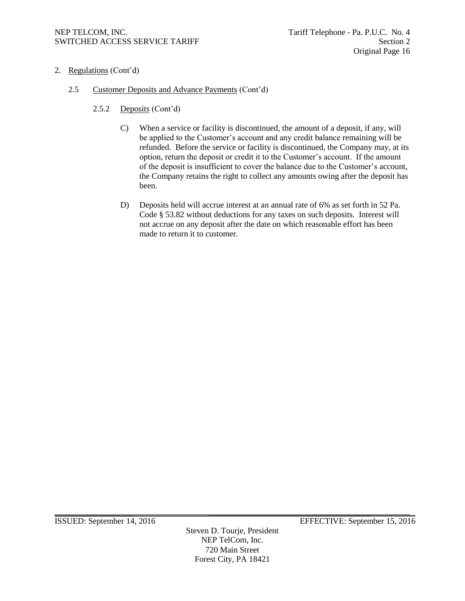- 2. Regulations (Cont'd)
	- 2.5 Customer Deposits and Advance Payments (Cont'd)
		- 2.5.2 Deposits (Cont'd)
			- C) When a service or facility is discontinued, the amount of a deposit, if any, will be applied to the Customer's account and any credit balance remaining will be refunded. Before the service or facility is discontinued, the Company may, at its option, return the deposit or credit it to the Customer's account. If the amount of the deposit is insufficient to cover the balance due to the Customer's account, the Company retains the right to collect any amounts owing after the deposit has been.
			- D) Deposits held will accrue interest at an annual rate of 6% as set forth in 52 Pa. Code § 53.82 without deductions for any taxes on such deposits. Interest will not accrue on any deposit after the date on which reasonable effort has been made to return it to customer.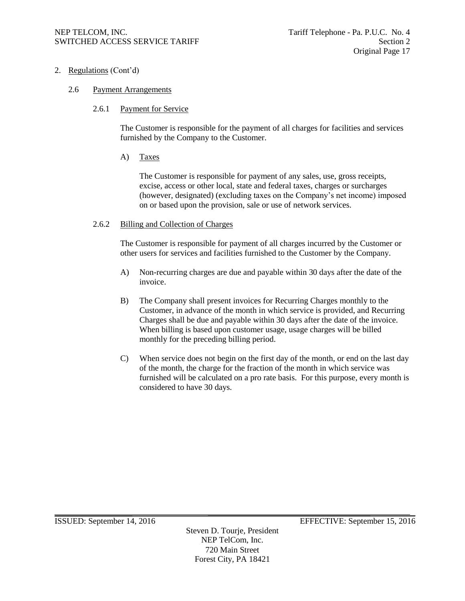2. Regulations (Cont'd)

# 2.6 Payment Arrangements

# 2.6.1 Payment for Service

The Customer is responsible for the payment of all charges for facilities and services furnished by the Company to the Customer.

# A) Taxes

The Customer is responsible for payment of any sales, use, gross receipts, excise, access or other local, state and federal taxes, charges or surcharges (however, designated) (excluding taxes on the Company's net income) imposed on or based upon the provision, sale or use of network services.

#### 2.6.2 Billing and Collection of Charges

The Customer is responsible for payment of all charges incurred by the Customer or other users for services and facilities furnished to the Customer by the Company.

- A) Non-recurring charges are due and payable within 30 days after the date of the invoice.
- B) The Company shall present invoices for Recurring Charges monthly to the Customer, in advance of the month in which service is provided, and Recurring Charges shall be due and payable within 30 days after the date of the invoice. When billing is based upon customer usage, usage charges will be billed monthly for the preceding billing period.
- C) When service does not begin on the first day of the month, or end on the last day of the month, the charge for the fraction of the month in which service was furnished will be calculated on a pro rate basis. For this purpose, every month is considered to have 30 days.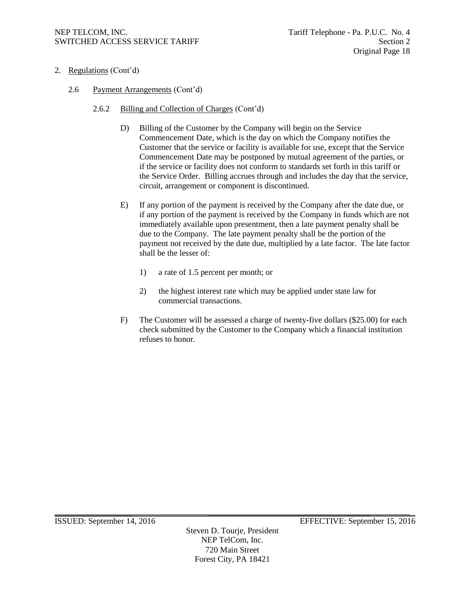# NEP TELCOM, INC.<br>SWITCHED ACCESS SERVICE TARIFF SERIES AND TAGGED ACCESS SERVICE TARIFF SWITCHED ACCESS SERVICE TARIFF

- 2. Regulations (Cont'd)
	- 2.6 Payment Arrangements (Cont'd)
		- 2.6.2 Billing and Collection of Charges (Cont'd)
			- D) Billing of the Customer by the Company will begin on the Service Commencement Date, which is the day on which the Company notifies the Customer that the service or facility is available for use, except that the Service Commencement Date may be postponed by mutual agreement of the parties, or if the service or facility does not conform to standards set forth in this tariff or the Service Order. Billing accrues through and includes the day that the service, circuit, arrangement or component is discontinued.
			- E) If any portion of the payment is received by the Company after the date due, or if any portion of the payment is received by the Company in funds which are not immediately available upon presentment, then a late payment penalty shall be due to the Company. The late payment penalty shall be the portion of the payment not received by the date due, multiplied by a late factor. The late factor shall be the lesser of:
				- 1) a rate of 1.5 percent per month; or
				- 2) the highest interest rate which may be applied under state law for commercial transactions.
			- F) The Customer will be assessed a charge of twenty-five dollars (\$25.00) for each check submitted by the Customer to the Company which a financial institution refuses to honor.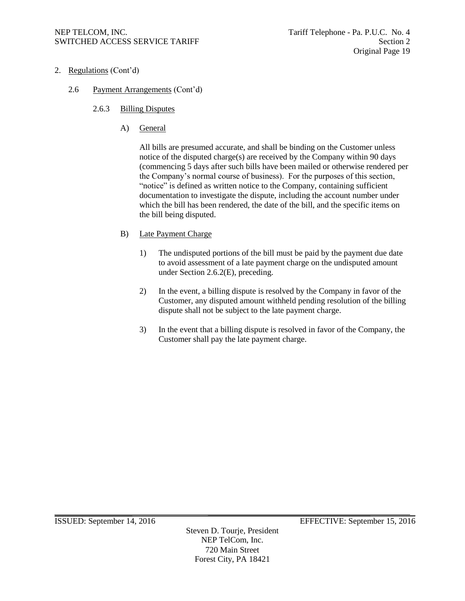- 2. Regulations (Cont'd)
	- 2.6 Payment Arrangements (Cont'd)
		- 2.6.3 Billing Disputes
			- A) General

All bills are presumed accurate, and shall be binding on the Customer unless notice of the disputed charge(s) are received by the Company within 90 days (commencing 5 days after such bills have been mailed or otherwise rendered per the Company's normal course of business). For the purposes of this section, "notice" is defined as written notice to the Company, containing sufficient documentation to investigate the dispute, including the account number under which the bill has been rendered, the date of the bill, and the specific items on the bill being disputed.

- B) Late Payment Charge
	- 1) The undisputed portions of the bill must be paid by the payment due date to avoid assessment of a late payment charge on the undisputed amount under Section 2.6.2(E), preceding.
	- 2) In the event, a billing dispute is resolved by the Company in favor of the Customer, any disputed amount withheld pending resolution of the billing dispute shall not be subject to the late payment charge.
	- 3) In the event that a billing dispute is resolved in favor of the Company, the Customer shall pay the late payment charge.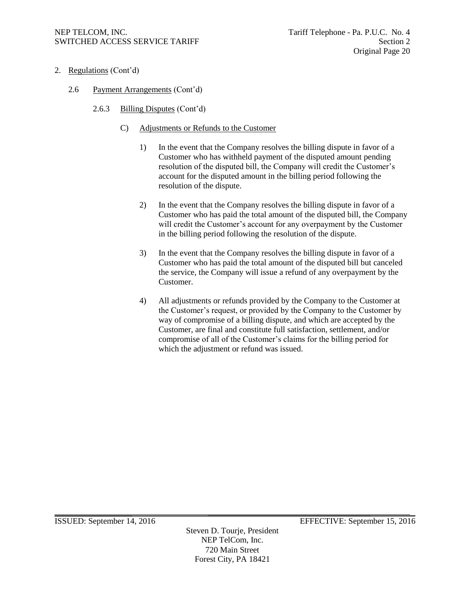- 2. Regulations (Cont'd)
	- 2.6 Payment Arrangements (Cont'd)
		- 2.6.3 Billing Disputes (Cont'd)
			- C) Adjustments or Refunds to the Customer
				- 1) In the event that the Company resolves the billing dispute in favor of a Customer who has withheld payment of the disputed amount pending resolution of the disputed bill, the Company will credit the Customer's account for the disputed amount in the billing period following the resolution of the dispute.
				- 2) In the event that the Company resolves the billing dispute in favor of a Customer who has paid the total amount of the disputed bill, the Company will credit the Customer's account for any overpayment by the Customer in the billing period following the resolution of the dispute.
				- 3) In the event that the Company resolves the billing dispute in favor of a Customer who has paid the total amount of the disputed bill but canceled the service, the Company will issue a refund of any overpayment by the Customer.
				- 4) All adjustments or refunds provided by the Company to the Customer at the Customer's request, or provided by the Company to the Customer by way of compromise of a billing dispute, and which are accepted by the Customer, are final and constitute full satisfaction, settlement, and/or compromise of all of the Customer's claims for the billing period for which the adjustment or refund was issued.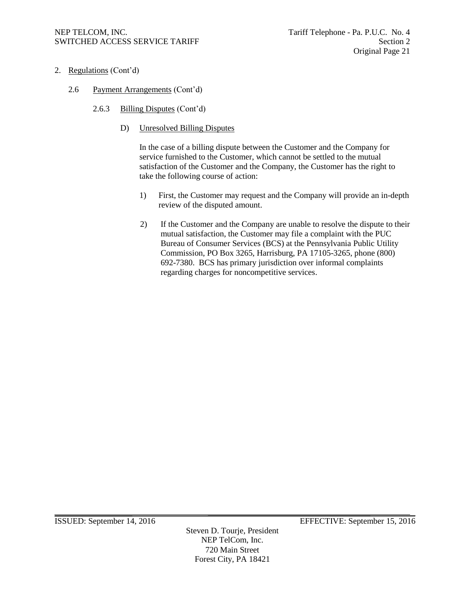- 2. Regulations (Cont'd)
	- 2.6 Payment Arrangements (Cont'd)
		- 2.6.3 Billing Disputes (Cont'd)
			- D) Unresolved Billing Disputes

In the case of a billing dispute between the Customer and the Company for service furnished to the Customer, which cannot be settled to the mutual satisfaction of the Customer and the Company, the Customer has the right to take the following course of action:

- 1) First, the Customer may request and the Company will provide an in-depth review of the disputed amount.
- 2) If the Customer and the Company are unable to resolve the dispute to their mutual satisfaction, the Customer may file a complaint with the PUC Bureau of Consumer Services (BCS) at the Pennsylvania Public Utility Commission, PO Box 3265, Harrisburg, PA 17105-3265, phone (800) 692-7380. BCS has primary jurisdiction over informal complaints regarding charges for noncompetitive services.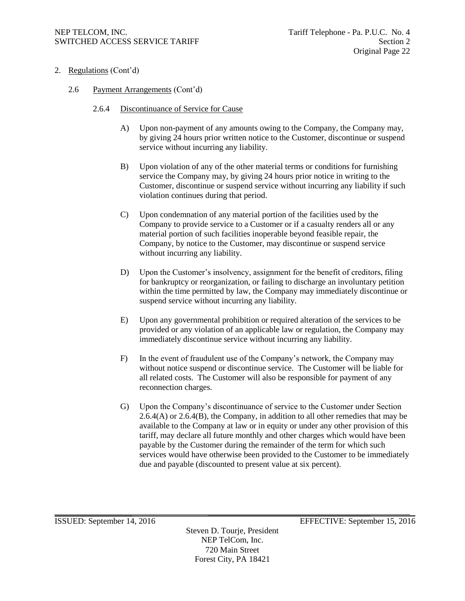- 2. Regulations (Cont'd)
	- 2.6 Payment Arrangements (Cont'd)
		- 2.6.4 Discontinuance of Service for Cause
			- A) Upon non-payment of any amounts owing to the Company, the Company may, by giving 24 hours prior written notice to the Customer, discontinue or suspend service without incurring any liability.
			- B) Upon violation of any of the other material terms or conditions for furnishing service the Company may, by giving 24 hours prior notice in writing to the Customer, discontinue or suspend service without incurring any liability if such violation continues during that period.
			- C) Upon condemnation of any material portion of the facilities used by the Company to provide service to a Customer or if a casualty renders all or any material portion of such facilities inoperable beyond feasible repair, the Company, by notice to the Customer, may discontinue or suspend service without incurring any liability.
			- D) Upon the Customer's insolvency, assignment for the benefit of creditors, filing for bankruptcy or reorganization, or failing to discharge an involuntary petition within the time permitted by law, the Company may immediately discontinue or suspend service without incurring any liability.
			- E) Upon any governmental prohibition or required alteration of the services to be provided or any violation of an applicable law or regulation, the Company may immediately discontinue service without incurring any liability.
			- F) In the event of fraudulent use of the Company's network, the Company may without notice suspend or discontinue service. The Customer will be liable for all related costs. The Customer will also be responsible for payment of any reconnection charges.
			- G) Upon the Company's discontinuance of service to the Customer under Section  $2.6.4(A)$  or  $2.6.4(B)$ , the Company, in addition to all other remedies that may be available to the Company at law or in equity or under any other provision of this tariff, may declare all future monthly and other charges which would have been payable by the Customer during the remainder of the term for which such services would have otherwise been provided to the Customer to be immediately due and payable (discounted to present value at six percent).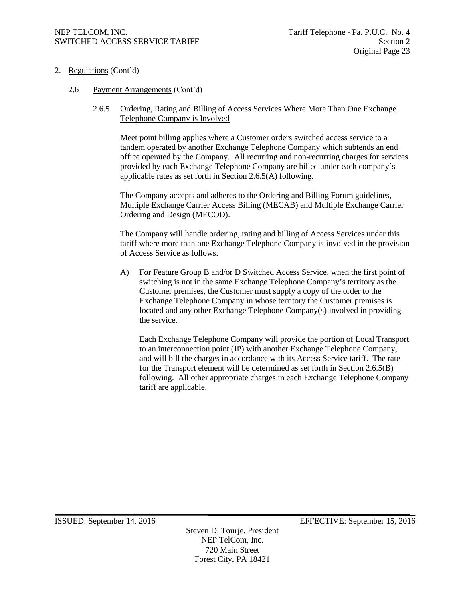- 2. Regulations (Cont'd)
	- 2.6 Payment Arrangements (Cont'd)

# 2.6.5 Ordering, Rating and Billing of Access Services Where More Than One Exchange Telephone Company is Involved

Meet point billing applies where a Customer orders switched access service to a tandem operated by another Exchange Telephone Company which subtends an end office operated by the Company. All recurring and non-recurring charges for services provided by each Exchange Telephone Company are billed under each company's applicable rates as set forth in Section 2.6.5(A) following.

The Company accepts and adheres to the Ordering and Billing Forum guidelines, Multiple Exchange Carrier Access Billing (MECAB) and Multiple Exchange Carrier Ordering and Design (MECOD).

The Company will handle ordering, rating and billing of Access Services under this tariff where more than one Exchange Telephone Company is involved in the provision of Access Service as follows.

A) For Feature Group B and/or D Switched Access Service, when the first point of switching is not in the same Exchange Telephone Company's territory as the Customer premises, the Customer must supply a copy of the order to the Exchange Telephone Company in whose territory the Customer premises is located and any other Exchange Telephone Company(s) involved in providing the service.

Each Exchange Telephone Company will provide the portion of Local Transport to an interconnection point (IP) with another Exchange Telephone Company, and will bill the charges in accordance with its Access Service tariff. The rate for the Transport element will be determined as set forth in Section 2.6.5(B) following. All other appropriate charges in each Exchange Telephone Company tariff are applicable.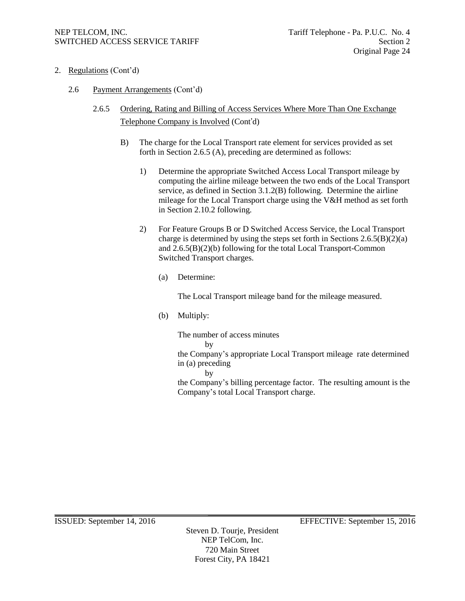- 2. Regulations (Cont'd)
	- 2.6 Payment Arrangements (Cont'd)
		- 2.6.5 Ordering, Rating and Billing of Access Services Where More Than One Exchange Telephone Company is Involved (Cont'd)
			- B) The charge for the Local Transport rate element for services provided as set forth in Section 2.6.5 (A), preceding are determined as follows:
				- 1) Determine the appropriate Switched Access Local Transport mileage by computing the airline mileage between the two ends of the Local Transport service, as defined in Section 3.1.2(B) following. Determine the airline mileage for the Local Transport charge using the V&H method as set forth in Section 2.10.2 following.
				- 2) For Feature Groups B or D Switched Access Service, the Local Transport charge is determined by using the steps set forth in Sections  $2.6.5(B)(2)(a)$ and 2.6.5(B)(2)(b) following for the total Local Transport-Common Switched Transport charges.
					- (a) Determine:

The Local Transport mileage band for the mileage measured.

(b) Multiply:

The number of access minutes by the Company's appropriate Local Transport mileage rate determined in (a) preceding

by

the Company's billing percentage factor. The resulting amount is the Company's total Local Transport charge.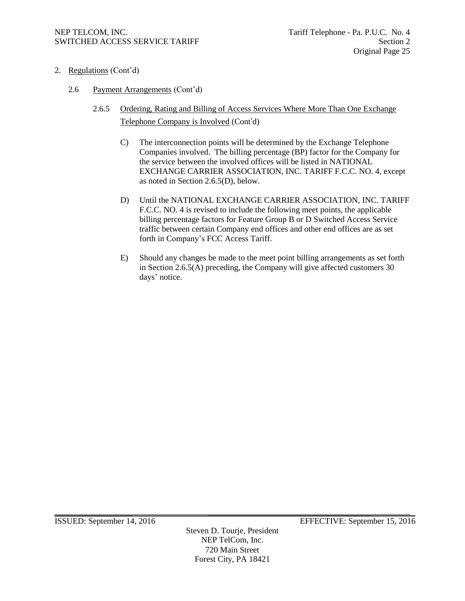- 2. Regulations (Cont'd)
	- 2.6 Payment Arrangements (Cont'd)
		- 2.6.5 Ordering, Rating and Billing of Access Services Where More Than One Exchange Telephone Company is Involved (Cont'd)
			- C) The interconnection points will be determined by the Exchange Telephone Companies involved. The billing percentage (BP) factor for the Company for the service between the involved offices will be listed in NATIONAL EXCHANGE CARRIER ASSOCIATION, INC. TARIFF F.C.C. NO. 4, except as noted in Section 2.6.5(D), below.
			- D) Until the NATIONAL EXCHANGE CARRIER ASSOCIATION, INC. TARIFF F.C.C. NO. 4 is revised to include the following meet points, the applicable billing percentage factors for Feature Group B or D Switched Access Service traffic between certain Company end offices and other end offices are as set forth in Company's FCC Access Tariff.
			- E) Should any changes be made to the meet point billing arrangements as set forth in Section 2.6.5(A) preceding, the Company will give affected customers 30 days' notice.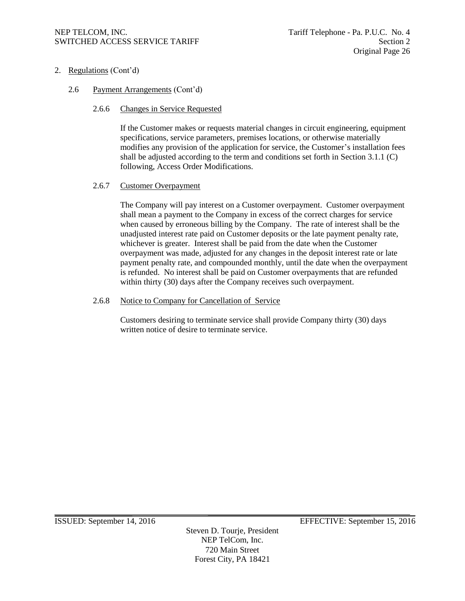- 2. Regulations (Cont'd)
	- 2.6 Payment Arrangements (Cont'd)
		- 2.6.6 Changes in Service Requested

If the Customer makes or requests material changes in circuit engineering, equipment specifications, service parameters, premises locations, or otherwise materially modifies any provision of the application for service, the Customer's installation fees shall be adjusted according to the term and conditions set forth in Section 3.1.1 (C) following, Access Order Modifications.

# 2.6.7 Customer Overpayment

The Company will pay interest on a Customer overpayment. Customer overpayment shall mean a payment to the Company in excess of the correct charges for service when caused by erroneous billing by the Company. The rate of interest shall be the unadjusted interest rate paid on Customer deposits or the late payment penalty rate, whichever is greater. Interest shall be paid from the date when the Customer overpayment was made, adjusted for any changes in the deposit interest rate or late payment penalty rate, and compounded monthly, until the date when the overpayment is refunded. No interest shall be paid on Customer overpayments that are refunded within thirty (30) days after the Company receives such overpayment.

#### 2.6.8 Notice to Company for Cancellation of Service

Customers desiring to terminate service shall provide Company thirty (30) days written notice of desire to terminate service.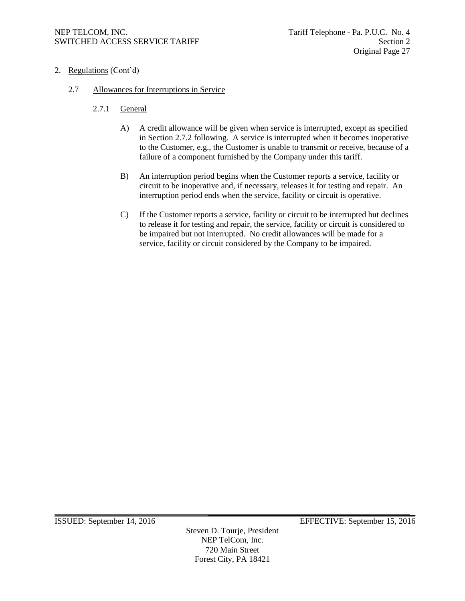- 2. Regulations (Cont'd)
	- 2.7 Allowances for Interruptions in Service
		- 2.7.1 General
			- A) A credit allowance will be given when service is interrupted, except as specified in Section 2.7.2 following. A service is interrupted when it becomes inoperative to the Customer, e.g., the Customer is unable to transmit or receive, because of a failure of a component furnished by the Company under this tariff.
			- B) An interruption period begins when the Customer reports a service, facility or circuit to be inoperative and, if necessary, releases it for testing and repair. An interruption period ends when the service, facility or circuit is operative.
			- C) If the Customer reports a service, facility or circuit to be interrupted but declines to release it for testing and repair, the service, facility or circuit is considered to be impaired but not interrupted. No credit allowances will be made for a service, facility or circuit considered by the Company to be impaired.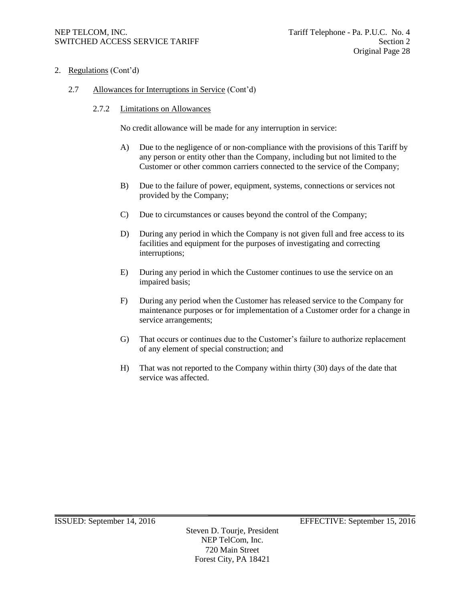2. Regulations (Cont'd)

# 2.7 Allowances for Interruptions in Service (Cont'd)

# 2.7.2 Limitations on Allowances

No credit allowance will be made for any interruption in service:

- A) Due to the negligence of or non-compliance with the provisions of this Tariff by any person or entity other than the Company, including but not limited to the Customer or other common carriers connected to the service of the Company;
- B) Due to the failure of power, equipment, systems, connections or services not provided by the Company;
- C) Due to circumstances or causes beyond the control of the Company;
- D) During any period in which the Company is not given full and free access to its facilities and equipment for the purposes of investigating and correcting interruptions;
- E) During any period in which the Customer continues to use the service on an impaired basis;
- F) During any period when the Customer has released service to the Company for maintenance purposes or for implementation of a Customer order for a change in service arrangements;
- G) That occurs or continues due to the Customer's failure to authorize replacement of any element of special construction; and
- H) That was not reported to the Company within thirty (30) days of the date that service was affected.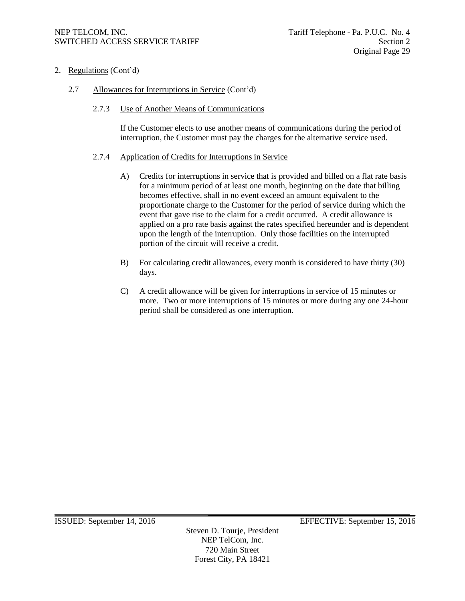- 2. Regulations (Cont'd)
	- 2.7 Allowances for Interruptions in Service (Cont'd)
		- 2.7.3 Use of Another Means of Communications

If the Customer elects to use another means of communications during the period of interruption, the Customer must pay the charges for the alternative service used.

#### 2.7.4 Application of Credits for Interruptions in Service

- A) Credits for interruptions in service that is provided and billed on a flat rate basis for a minimum period of at least one month, beginning on the date that billing becomes effective, shall in no event exceed an amount equivalent to the proportionate charge to the Customer for the period of service during which the event that gave rise to the claim for a credit occurred. A credit allowance is applied on a pro rate basis against the rates specified hereunder and is dependent upon the length of the interruption. Only those facilities on the interrupted portion of the circuit will receive a credit.
- B) For calculating credit allowances, every month is considered to have thirty (30) days.
- C) A credit allowance will be given for interruptions in service of 15 minutes or more. Two or more interruptions of 15 minutes or more during any one 24-hour period shall be considered as one interruption.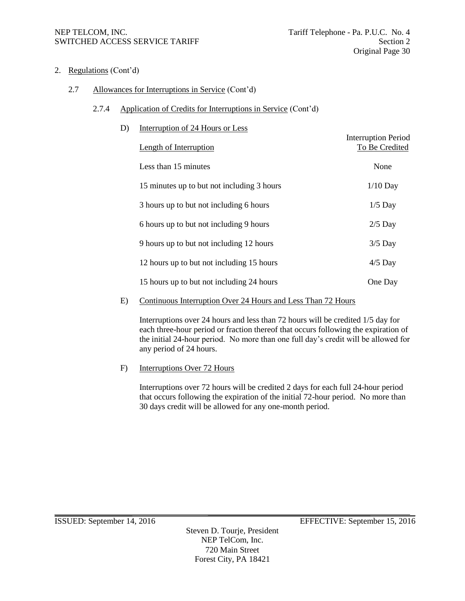- 2. Regulations (Cont'd)
	- 2.7 Allowances for Interruptions in Service (Cont'd)
		- 2.7.4 Application of Credits for Interruptions in Service (Cont'd)

| D) | Interruption of 24 Hours or Less           |                                              |
|----|--------------------------------------------|----------------------------------------------|
|    | Length of Interruption                     | <b>Interruption Period</b><br>To Be Credited |
|    | Less than 15 minutes                       | None                                         |
|    | 15 minutes up to but not including 3 hours | $1/10$ Day                                   |
|    | 3 hours up to but not including 6 hours    | $1/5$ Day                                    |
|    | 6 hours up to but not including 9 hours    | $2/5$ Day                                    |
|    | 9 hours up to but not including 12 hours   | $3/5$ Day                                    |
|    | 12 hours up to but not including 15 hours  | $4/5$ Day                                    |
|    | 15 hours up to but not including 24 hours  | One Day                                      |
|    |                                            |                                              |

E) Continuous Interruption Over 24 Hours and Less Than 72 Hours

Interruptions over 24 hours and less than 72 hours will be credited 1/5 day for each three-hour period or fraction thereof that occurs following the expiration of the initial 24-hour period. No more than one full day's credit will be allowed for any period of 24 hours.

F) Interruptions Over 72 Hours

Interruptions over 72 hours will be credited 2 days for each full 24-hour period that occurs following the expiration of the initial 72-hour period. No more than 30 days credit will be allowed for any one-month period.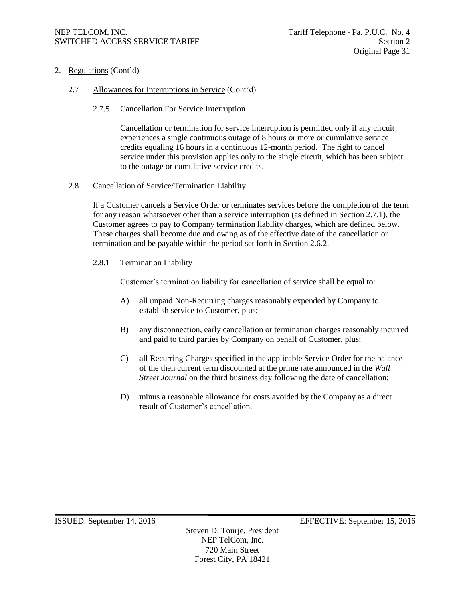2. Regulations (Cont'd)

# 2.7 Allowances for Interruptions in Service (Cont'd)

# 2.7.5 Cancellation For Service Interruption

Cancellation or termination for service interruption is permitted only if any circuit experiences a single continuous outage of 8 hours or more or cumulative service credits equaling 16 hours in a continuous 12-month period. The right to cancel service under this provision applies only to the single circuit, which has been subject to the outage or cumulative service credits.

# 2.8 Cancellation of Service/Termination Liability

If a Customer cancels a Service Order or terminates services before the completion of the term for any reason whatsoever other than a service interruption (as defined in Section 2.7.1), the Customer agrees to pay to Company termination liability charges, which are defined below. These charges shall become due and owing as of the effective date of the cancellation or termination and be payable within the period set forth in Section 2.6.2.

# 2.8.1 Termination Liability

Customer's termination liability for cancellation of service shall be equal to:

- A) all unpaid Non-Recurring charges reasonably expended by Company to establish service to Customer, plus;
- B) any disconnection, early cancellation or termination charges reasonably incurred and paid to third parties by Company on behalf of Customer, plus;
- C) all Recurring Charges specified in the applicable Service Order for the balance of the then current term discounted at the prime rate announced in the *Wall Street Journal* on the third business day following the date of cancellation;
- D) minus a reasonable allowance for costs avoided by the Company as a direct result of Customer's cancellation.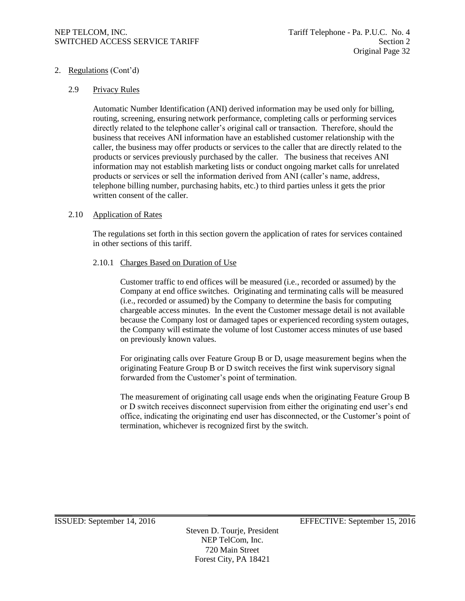# 2. Regulations (Cont'd)

#### 2.9 Privacy Rules

Automatic Number Identification (ANI) derived information may be used only for billing, routing, screening, ensuring network performance, completing calls or performing services directly related to the telephone caller's original call or transaction. Therefore, should the business that receives ANI information have an established customer relationship with the caller, the business may offer products or services to the caller that are directly related to the products or services previously purchased by the caller. The business that receives ANI information may not establish marketing lists or conduct ongoing market calls for unrelated products or services or sell the information derived from ANI (caller's name, address, telephone billing number, purchasing habits, etc.) to third parties unless it gets the prior written consent of the caller.

#### 2.10 Application of Rates

The regulations set forth in this section govern the application of rates for services contained in other sections of this tariff.

#### 2.10.1 Charges Based on Duration of Use

Customer traffic to end offices will be measured (i.e., recorded or assumed) by the Company at end office switches. Originating and terminating calls will be measured (i.e., recorded or assumed) by the Company to determine the basis for computing chargeable access minutes. In the event the Customer message detail is not available because the Company lost or damaged tapes or experienced recording system outages, the Company will estimate the volume of lost Customer access minutes of use based on previously known values.

For originating calls over Feature Group B or D, usage measurement begins when the originating Feature Group B or D switch receives the first wink supervisory signal forwarded from the Customer's point of termination.

The measurement of originating call usage ends when the originating Feature Group B or D switch receives disconnect supervision from either the originating end user's end office, indicating the originating end user has disconnected, or the Customer's point of termination, whichever is recognized first by the switch.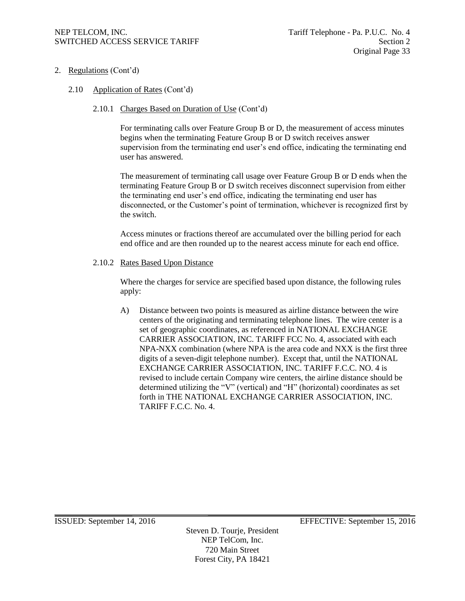- 2. Regulations (Cont'd)
	- 2.10 Application of Rates (Cont'd)

# 2.10.1 Charges Based on Duration of Use (Cont'd)

For terminating calls over Feature Group B or D, the measurement of access minutes begins when the terminating Feature Group B or D switch receives answer supervision from the terminating end user's end office, indicating the terminating end user has answered.

The measurement of terminating call usage over Feature Group B or D ends when the terminating Feature Group B or D switch receives disconnect supervision from either the terminating end user's end office, indicating the terminating end user has disconnected, or the Customer's point of termination, whichever is recognized first by the switch.

Access minutes or fractions thereof are accumulated over the billing period for each end office and are then rounded up to the nearest access minute for each end office.

#### 2.10.2 Rates Based Upon Distance

Where the charges for service are specified based upon distance, the following rules apply:

A) Distance between two points is measured as airline distance between the wire centers of the originating and terminating telephone lines. The wire center is a set of geographic coordinates, as referenced in NATIONAL EXCHANGE CARRIER ASSOCIATION, INC. TARIFF FCC No. 4, associated with each NPA-NXX combination (where NPA is the area code and NXX is the first three digits of a seven-digit telephone number). Except that, until the NATIONAL EXCHANGE CARRIER ASSOCIATION, INC. TARIFF F.C.C. NO. 4 is revised to include certain Company wire centers, the airline distance should be determined utilizing the "V" (vertical) and "H" (horizontal) coordinates as set forth in THE NATIONAL EXCHANGE CARRIER ASSOCIATION, INC. TARIFF F.C.C. No. 4.

Steven D. Tourje, President NEP TelCom, Inc. 720 Main Street Forest City, PA 18421

ISSUED: September 14, 2016 EFFECTIVE: September 15, 2016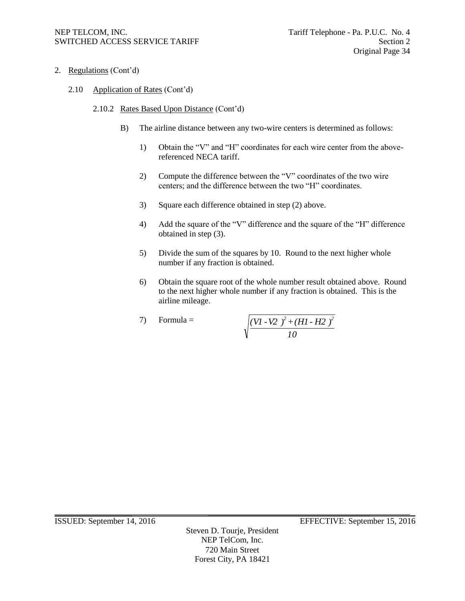- 2. Regulations (Cont'd)
	- 2.10 Application of Rates (Cont'd)
		- 2.10.2 Rates Based Upon Distance (Cont'd)
			- B) The airline distance between any two-wire centers is determined as follows:
				- 1) Obtain the "V" and "H" coordinates for each wire center from the abovereferenced NECA tariff.
				- 2) Compute the difference between the "V" coordinates of the two wire centers; and the difference between the two "H" coordinates.
				- 3) Square each difference obtained in step (2) above.
				- 4) Add the square of the "V" difference and the square of the "H" difference obtained in step (3).
				- 5) Divide the sum of the squares by 10. Round to the next higher whole number if any fraction is obtained.
				- 6) Obtain the square root of the whole number result obtained above. Round to the next higher whole number if any fraction is obtained. This is the airline mileage.

7) Formula = 
$$
\sqrt{\frac{(VI - V2)^2 + (HI - H2)^2}{10}}
$$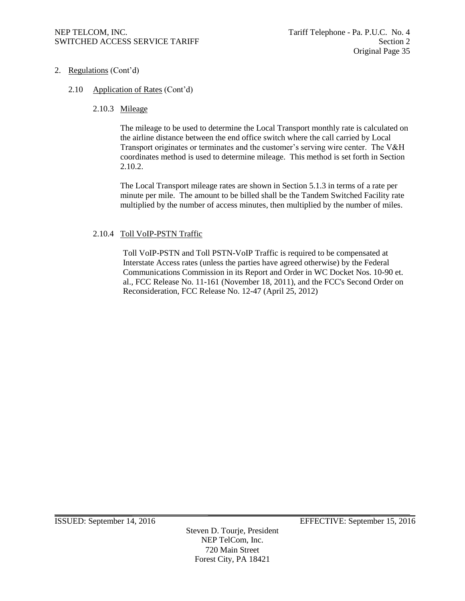- 2. Regulations (Cont'd)
	- 2.10 Application of Rates (Cont'd)
		- 2.10.3 Mileage

The mileage to be used to determine the Local Transport monthly rate is calculated on the airline distance between the end office switch where the call carried by Local Transport originates or terminates and the customer's serving wire center. The V&H coordinates method is used to determine mileage. This method is set forth in Section 2.10.2.

The Local Transport mileage rates are shown in Section 5.1.3 in terms of a rate per minute per mile. The amount to be billed shall be the Tandem Switched Facility rate multiplied by the number of access minutes, then multiplied by the number of miles.

## 2.10.4 Toll VoIP-PSTN Traffic

Toll VoIP-PSTN and Toll PSTN-VoIP Traffic is required to be compensated at Interstate Access rates (unless the parties have agreed otherwise) by the Federal Communications Commission in its Report and Order in WC Docket Nos. 10-90 et. al., FCC Release No. 11-161 (November 18, 2011), and the FCC's Second Order on Reconsideration, FCC Release No. 12-47 (April 25, 2012)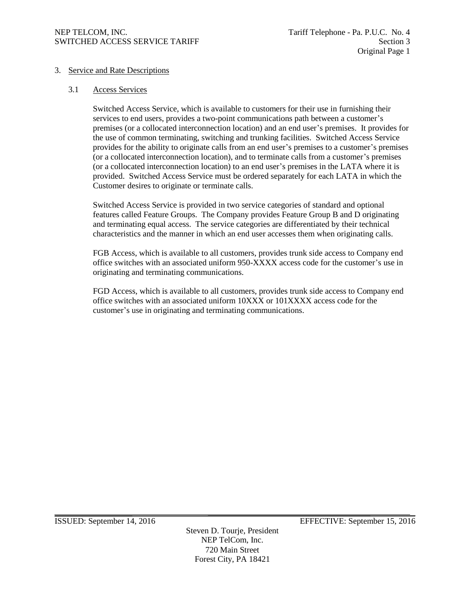# 3. Service and Rate Descriptions

#### 3.1 Access Services

Switched Access Service, which is available to customers for their use in furnishing their services to end users, provides a two-point communications path between a customer's premises (or a collocated interconnection location) and an end user's premises. It provides for the use of common terminating, switching and trunking facilities. Switched Access Service provides for the ability to originate calls from an end user's premises to a customer's premises (or a collocated interconnection location), and to terminate calls from a customer's premises (or a collocated interconnection location) to an end user's premises in the LATA where it is provided. Switched Access Service must be ordered separately for each LATA in which the Customer desires to originate or terminate calls.

Switched Access Service is provided in two service categories of standard and optional features called Feature Groups. The Company provides Feature Group B and D originating and terminating equal access. The service categories are differentiated by their technical characteristics and the manner in which an end user accesses them when originating calls.

FGB Access, which is available to all customers, provides trunk side access to Company end office switches with an associated uniform 950-XXXX access code for the customer's use in originating and terminating communications.

FGD Access, which is available to all customers, provides trunk side access to Company end office switches with an associated uniform 10XXX or 101XXXX access code for the customer's use in originating and terminating communications.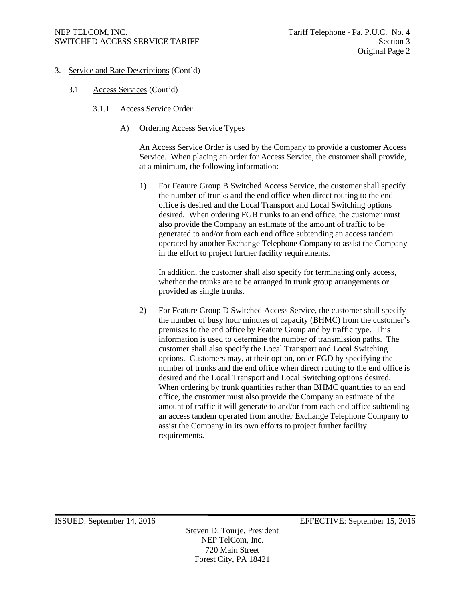- 3. Service and Rate Descriptions (Cont'd)
	- 3.1 Access Services (Cont'd)
		- 3.1.1 Access Service Order
			- A) Ordering Access Service Types

An Access Service Order is used by the Company to provide a customer Access Service. When placing an order for Access Service, the customer shall provide, at a minimum, the following information:

1) For Feature Group B Switched Access Service, the customer shall specify the number of trunks and the end office when direct routing to the end office is desired and the Local Transport and Local Switching options desired. When ordering FGB trunks to an end office, the customer must also provide the Company an estimate of the amount of traffic to be generated to and/or from each end office subtending an access tandem operated by another Exchange Telephone Company to assist the Company in the effort to project further facility requirements.

In addition, the customer shall also specify for terminating only access, whether the trunks are to be arranged in trunk group arrangements or provided as single trunks.

2) For Feature Group D Switched Access Service, the customer shall specify the number of busy hour minutes of capacity (BHMC) from the customer's premises to the end office by Feature Group and by traffic type. This information is used to determine the number of transmission paths. The customer shall also specify the Local Transport and Local Switching options. Customers may, at their option, order FGD by specifying the number of trunks and the end office when direct routing to the end office is desired and the Local Transport and Local Switching options desired. When ordering by trunk quantities rather than BHMC quantities to an end office, the customer must also provide the Company an estimate of the amount of traffic it will generate to and/or from each end office subtending an access tandem operated from another Exchange Telephone Company to assist the Company in its own efforts to project further facility requirements.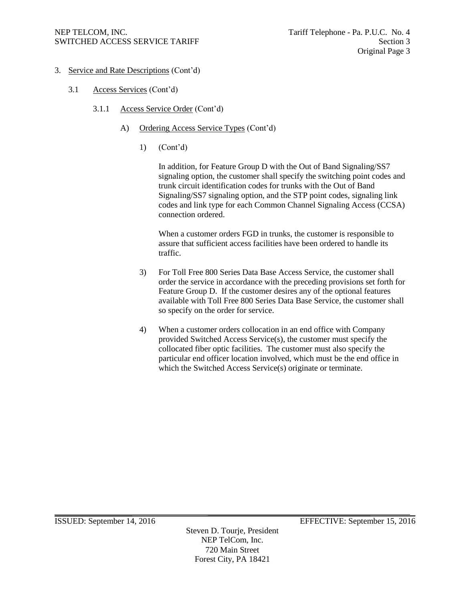- 3. Service and Rate Descriptions (Cont'd)
	- 3.1 Access Services (Cont'd)
		- 3.1.1 Access Service Order (Cont'd)
			- A) Ordering Access Service Types (Cont'd)
				- 1) (Cont'd)

In addition, for Feature Group D with the Out of Band Signaling/SS7 signaling option, the customer shall specify the switching point codes and trunk circuit identification codes for trunks with the Out of Band Signaling/SS7 signaling option, and the STP point codes, signaling link codes and link type for each Common Channel Signaling Access (CCSA) connection ordered.

When a customer orders FGD in trunks, the customer is responsible to assure that sufficient access facilities have been ordered to handle its traffic.

- 3) For Toll Free 800 Series Data Base Access Service, the customer shall order the service in accordance with the preceding provisions set forth for Feature Group D. If the customer desires any of the optional features available with Toll Free 800 Series Data Base Service, the customer shall so specify on the order for service.
- 4) When a customer orders collocation in an end office with Company provided Switched Access Service(s), the customer must specify the collocated fiber optic facilities. The customer must also specify the particular end officer location involved, which must be the end office in which the Switched Access Service(s) originate or terminate.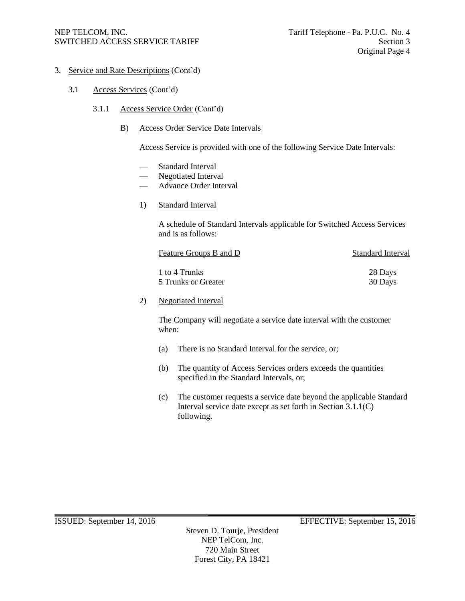- 3. Service and Rate Descriptions (Cont'd)
	- 3.1 Access Services (Cont'd)
		- 3.1.1 Access Service Order (Cont'd)
			- B) Access Order Service Date Intervals

Access Service is provided with one of the following Service Date Intervals:

- Standard Interval
- Negotiated Interval
- Advance Order Interval
- 1) Standard Interval

A schedule of Standard Intervals applicable for Switched Access Services and is as follows:

| Feature Groups B and D | <b>Standard Interval</b> |
|------------------------|--------------------------|
| 1 to 4 Trunks          | 28 Days                  |
| 5 Trunks or Greater    | 30 Days                  |

#### 2) Negotiated Interval

The Company will negotiate a service date interval with the customer when:

- (a) There is no Standard Interval for the service, or;
- (b) The quantity of Access Services orders exceeds the quantities specified in the Standard Intervals, or;
- (c) The customer requests a service date beyond the applicable Standard Interval service date except as set forth in Section 3.1.1(C) following.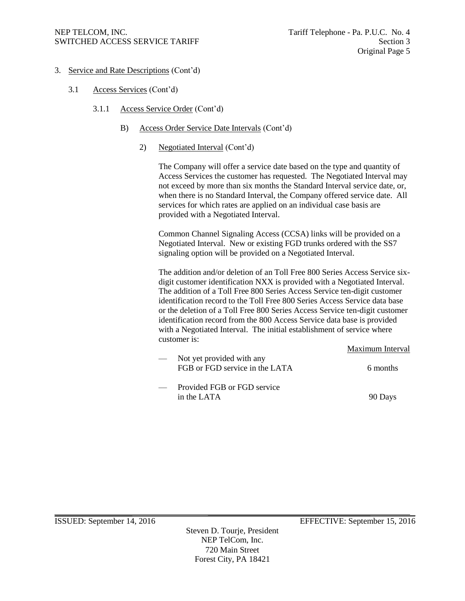- 3. Service and Rate Descriptions (Cont'd)
	- 3.1 Access Services (Cont'd)
		- 3.1.1 Access Service Order (Cont'd)
			- B) Access Order Service Date Intervals (Cont'd)
				- 2) Negotiated Interval (Cont'd)

The Company will offer a service date based on the type and quantity of Access Services the customer has requested. The Negotiated Interval may not exceed by more than six months the Standard Interval service date, or, when there is no Standard Interval, the Company offered service date. All services for which rates are applied on an individual case basis are provided with a Negotiated Interval.

Common Channel Signaling Access (CCSA) links will be provided on a Negotiated Interval. New or existing FGD trunks ordered with the SS7 signaling option will be provided on a Negotiated Interval.

The addition and/or deletion of an Toll Free 800 Series Access Service sixdigit customer identification NXX is provided with a Negotiated Interval. The addition of a Toll Free 800 Series Access Service ten-digit customer identification record to the Toll Free 800 Series Access Service data base or the deletion of a Toll Free 800 Series Access Service ten-digit customer identification record from the 800 Access Service data base is provided with a Negotiated Interval. The initial establishment of service where customer is:

|                                                             | Maximum Interval |
|-------------------------------------------------------------|------------------|
| Not yet provided with any<br>FGB or FGD service in the LATA | 6 months         |
| Provided FGB or FGD service<br>in the LATA                  | 90 Days          |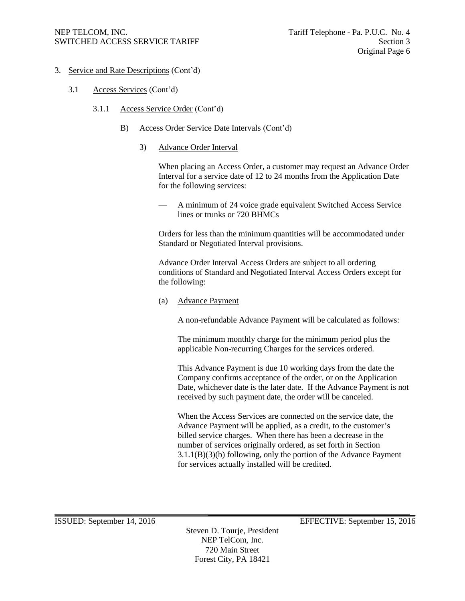- 3. Service and Rate Descriptions (Cont'd)
	- 3.1 Access Services (Cont'd)
		- 3.1.1 Access Service Order (Cont'd)
			- B) Access Order Service Date Intervals (Cont'd)
				- 3) Advance Order Interval

When placing an Access Order, a customer may request an Advance Order Interval for a service date of 12 to 24 months from the Application Date for the following services:

— A minimum of 24 voice grade equivalent Switched Access Service lines or trunks or 720 BHMCs

Orders for less than the minimum quantities will be accommodated under Standard or Negotiated Interval provisions.

Advance Order Interval Access Orders are subject to all ordering conditions of Standard and Negotiated Interval Access Orders except for the following:

(a) Advance Payment

A non-refundable Advance Payment will be calculated as follows:

The minimum monthly charge for the minimum period plus the applicable Non-recurring Charges for the services ordered.

This Advance Payment is due 10 working days from the date the Company confirms acceptance of the order, or on the Application Date, whichever date is the later date. If the Advance Payment is not received by such payment date, the order will be canceled.

When the Access Services are connected on the service date, the Advance Payment will be applied, as a credit, to the customer's billed service charges. When there has been a decrease in the number of services originally ordered, as set forth in Section 3.1.1(B)(3)(b) following, only the portion of the Advance Payment for services actually installed will be credited.

ISSUED: September 14, 2016 EFFECTIVE: September 15, 2016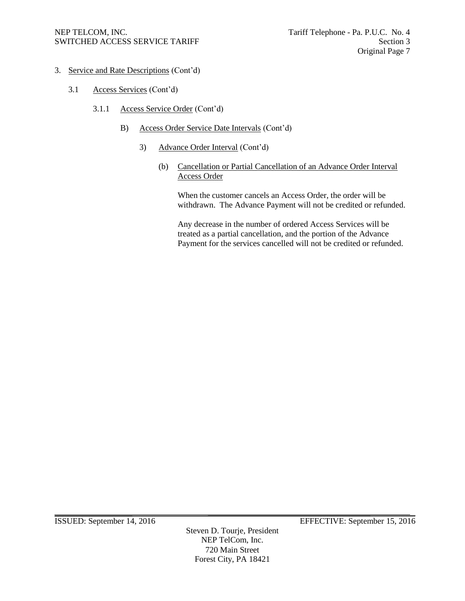- 3. Service and Rate Descriptions (Cont'd)
	- 3.1 Access Services (Cont'd)
		- 3.1.1 Access Service Order (Cont'd)
			- B) Access Order Service Date Intervals (Cont'd)
				- 3) Advance Order Interval (Cont'd)
					- (b) Cancellation or Partial Cancellation of an Advance Order Interval Access Order

When the customer cancels an Access Order, the order will be withdrawn. The Advance Payment will not be credited or refunded.

Any decrease in the number of ordered Access Services will be treated as a partial cancellation, and the portion of the Advance Payment for the services cancelled will not be credited or refunded.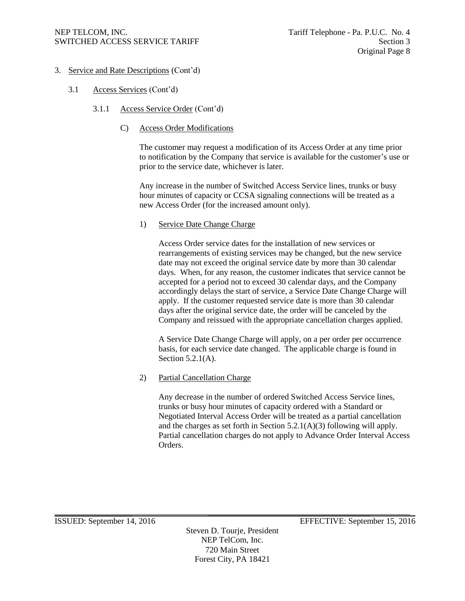- 3. Service and Rate Descriptions (Cont'd)
	- 3.1 Access Services (Cont'd)
		- 3.1.1 Access Service Order (Cont'd)
			- C) Access Order Modifications

The customer may request a modification of its Access Order at any time prior to notification by the Company that service is available for the customer's use or prior to the service date, whichever is later.

Any increase in the number of Switched Access Service lines, trunks or busy hour minutes of capacity or CCSA signaling connections will be treated as a new Access Order (for the increased amount only).

## 1) Service Date Change Charge

Access Order service dates for the installation of new services or rearrangements of existing services may be changed, but the new service date may not exceed the original service date by more than 30 calendar days. When, for any reason, the customer indicates that service cannot be accepted for a period not to exceed 30 calendar days, and the Company accordingly delays the start of service, a Service Date Change Charge will apply. If the customer requested service date is more than 30 calendar days after the original service date, the order will be canceled by the Company and reissued with the appropriate cancellation charges applied.

A Service Date Change Charge will apply, on a per order per occurrence basis, for each service date changed. The applicable charge is found in Section 5.2.1(A).

2) Partial Cancellation Charge

Any decrease in the number of ordered Switched Access Service lines, trunks or busy hour minutes of capacity ordered with a Standard or Negotiated Interval Access Order will be treated as a partial cancellation and the charges as set forth in Section 5.2.1(A)(3) following will apply. Partial cancellation charges do not apply to Advance Order Interval Access Orders.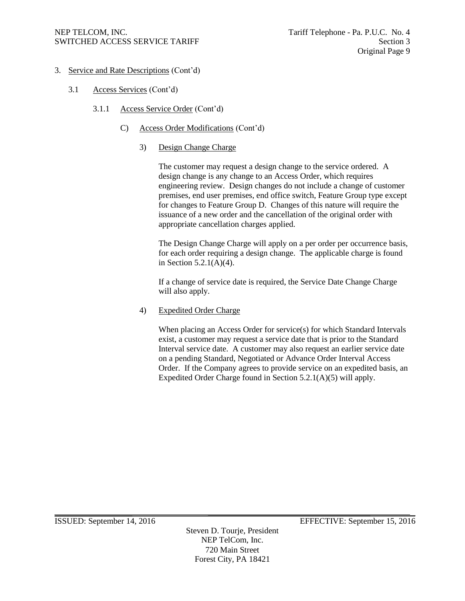- 3. Service and Rate Descriptions (Cont'd)
	- 3.1 Access Services (Cont'd)
		- 3.1.1 Access Service Order (Cont'd)
			- C) Access Order Modifications (Cont'd)
				- 3) Design Change Charge

The customer may request a design change to the service ordered. A design change is any change to an Access Order, which requires engineering review. Design changes do not include a change of customer premises, end user premises, end office switch, Feature Group type except for changes to Feature Group D. Changes of this nature will require the issuance of a new order and the cancellation of the original order with appropriate cancellation charges applied.

The Design Change Charge will apply on a per order per occurrence basis, for each order requiring a design change. The applicable charge is found in Section 5.2.1(A)(4).

If a change of service date is required, the Service Date Change Charge will also apply.

4) Expedited Order Charge

When placing an Access Order for service(s) for which Standard Intervals exist, a customer may request a service date that is prior to the Standard Interval service date. A customer may also request an earlier service date on a pending Standard, Negotiated or Advance Order Interval Access Order. If the Company agrees to provide service on an expedited basis, an Expedited Order Charge found in Section 5.2.1(A)(5) will apply.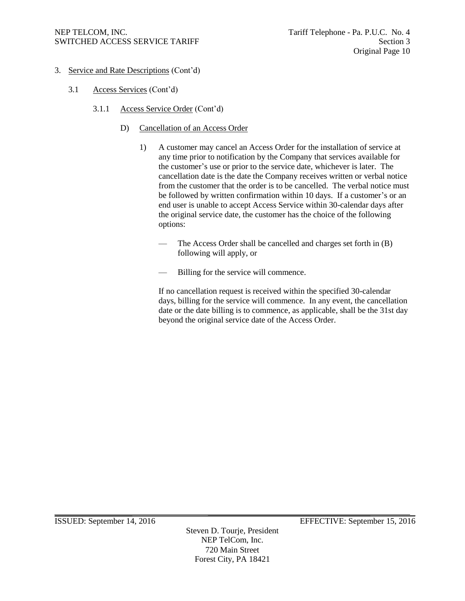- 3. Service and Rate Descriptions (Cont'd)
	- 3.1 Access Services (Cont'd)
		- 3.1.1 Access Service Order (Cont'd)
			- D) Cancellation of an Access Order
				- 1) A customer may cancel an Access Order for the installation of service at any time prior to notification by the Company that services available for the customer's use or prior to the service date, whichever is later. The cancellation date is the date the Company receives written or verbal notice from the customer that the order is to be cancelled. The verbal notice must be followed by written confirmation within 10 days. If a customer's or an end user is unable to accept Access Service within 30-calendar days after the original service date, the customer has the choice of the following options:
					- The Access Order shall be cancelled and charges set forth in (B) following will apply, or
					- Billing for the service will commence.

If no cancellation request is received within the specified 30-calendar days, billing for the service will commence. In any event, the cancellation date or the date billing is to commence, as applicable, shall be the 31st day beyond the original service date of the Access Order.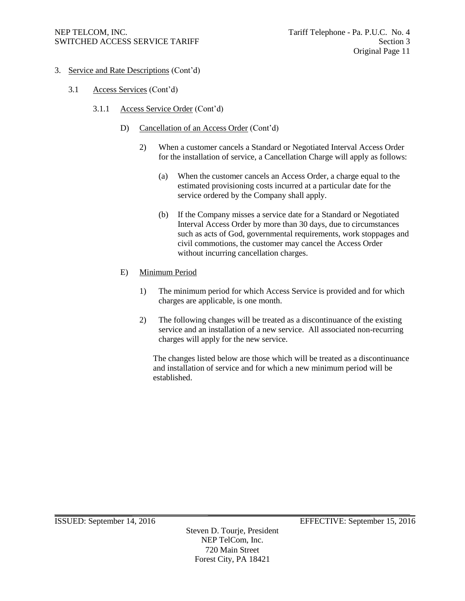- 3. Service and Rate Descriptions (Cont'd)
	- 3.1 Access Services (Cont'd)
		- 3.1.1 Access Service Order (Cont'd)
			- D) Cancellation of an Access Order (Cont'd)
				- 2) When a customer cancels a Standard or Negotiated Interval Access Order for the installation of service, a Cancellation Charge will apply as follows:
					- (a) When the customer cancels an Access Order, a charge equal to the estimated provisioning costs incurred at a particular date for the service ordered by the Company shall apply.
					- (b) If the Company misses a service date for a Standard or Negotiated Interval Access Order by more than 30 days, due to circumstances such as acts of God, governmental requirements, work stoppages and civil commotions, the customer may cancel the Access Order without incurring cancellation charges.

## E) Minimum Period

- 1) The minimum period for which Access Service is provided and for which charges are applicable, is one month.
- 2) The following changes will be treated as a discontinuance of the existing service and an installation of a new service. All associated non-recurring charges will apply for the new service.

The changes listed below are those which will be treated as a discontinuance and installation of service and for which a new minimum period will be established.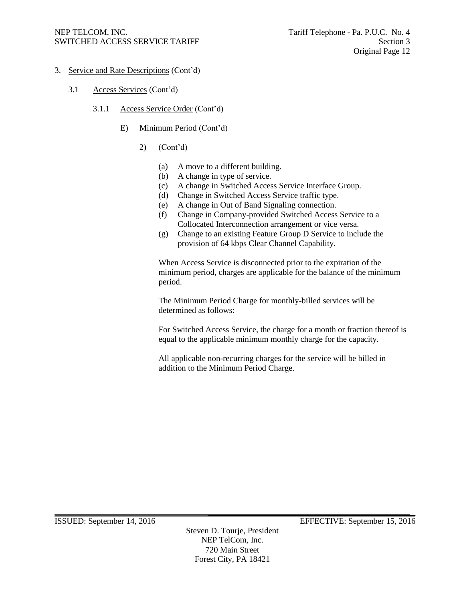- 3. Service and Rate Descriptions (Cont'd)
	- 3.1 Access Services (Cont'd)
		- 3.1.1 Access Service Order (Cont'd)
			- E) Minimum Period (Cont'd)
				- 2) (Cont'd)
					- (a) A move to a different building.
					- (b) A change in type of service.
					- (c) A change in Switched Access Service Interface Group.
					- (d) Change in Switched Access Service traffic type.
					- (e) A change in Out of Band Signaling connection.
					- (f) Change in Company-provided Switched Access Service to a Collocated Interconnection arrangement or vice versa.
					- (g) Change to an existing Feature Group D Service to include the provision of 64 kbps Clear Channel Capability.

When Access Service is disconnected prior to the expiration of the minimum period, charges are applicable for the balance of the minimum period.

The Minimum Period Charge for monthly-billed services will be determined as follows:

For Switched Access Service, the charge for a month or fraction thereof is equal to the applicable minimum monthly charge for the capacity.

All applicable non-recurring charges for the service will be billed in addition to the Minimum Period Charge.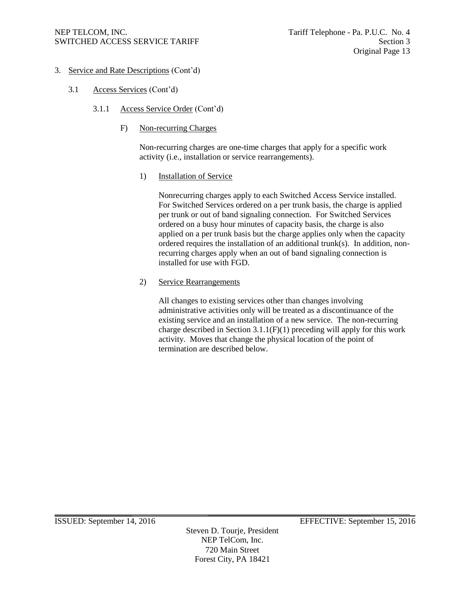- 3. Service and Rate Descriptions (Cont'd)
	- 3.1 Access Services (Cont'd)
		- 3.1.1 Access Service Order (Cont'd)
			- F) Non-recurring Charges

Non-recurring charges are one-time charges that apply for a specific work activity (i.e., installation or service rearrangements).

1) Installation of Service

Nonrecurring charges apply to each Switched Access Service installed. For Switched Services ordered on a per trunk basis, the charge is applied per trunk or out of band signaling connection. For Switched Services ordered on a busy hour minutes of capacity basis, the charge is also applied on a per trunk basis but the charge applies only when the capacity ordered requires the installation of an additional trunk(s). In addition, nonrecurring charges apply when an out of band signaling connection is installed for use with FGD.

2) Service Rearrangements

All changes to existing services other than changes involving administrative activities only will be treated as a discontinuance of the existing service and an installation of a new service. The non-recurring charge described in Section  $3.1.1(F)(1)$  preceding will apply for this work activity. Moves that change the physical location of the point of termination are described below.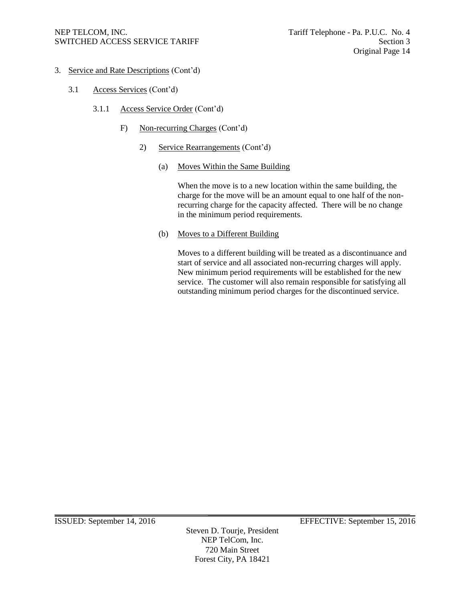- 3. Service and Rate Descriptions (Cont'd)
	- 3.1 Access Services (Cont'd)
		- 3.1.1 Access Service Order (Cont'd)
			- F) Non-recurring Charges (Cont'd)
				- 2) Service Rearrangements (Cont'd)
					- (a) Moves Within the Same Building

When the move is to a new location within the same building, the charge for the move will be an amount equal to one half of the nonrecurring charge for the capacity affected. There will be no change in the minimum period requirements.

(b) Moves to a Different Building

Moves to a different building will be treated as a discontinuance and start of service and all associated non-recurring charges will apply. New minimum period requirements will be established for the new service. The customer will also remain responsible for satisfying all outstanding minimum period charges for the discontinued service.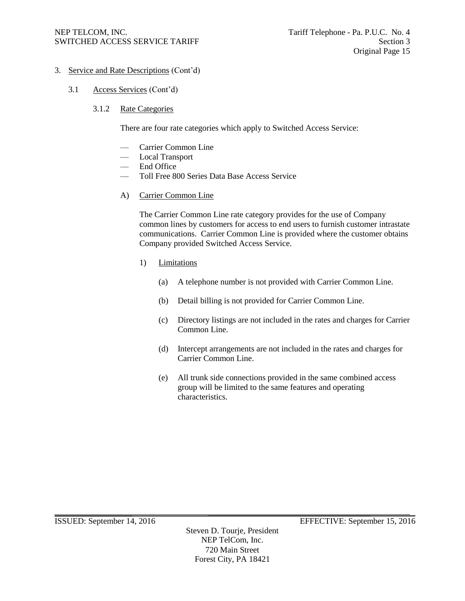# 3. Service and Rate Descriptions (Cont'd)

- 3.1 Access Services (Cont'd)
	- 3.1.2 Rate Categories

There are four rate categories which apply to Switched Access Service:

- Carrier Common Line
- Local Transport
- End Office
- Toll Free 800 Series Data Base Access Service
- A) Carrier Common Line

The Carrier Common Line rate category provides for the use of Company common lines by customers for access to end users to furnish customer intrastate communications. Carrier Common Line is provided where the customer obtains Company provided Switched Access Service.

- 1) Limitations
	- (a) A telephone number is not provided with Carrier Common Line.
	- (b) Detail billing is not provided for Carrier Common Line.
	- (c) Directory listings are not included in the rates and charges for Carrier Common Line.
	- (d) Intercept arrangements are not included in the rates and charges for Carrier Common Line.
	- (e) All trunk side connections provided in the same combined access group will be limited to the same features and operating characteristics.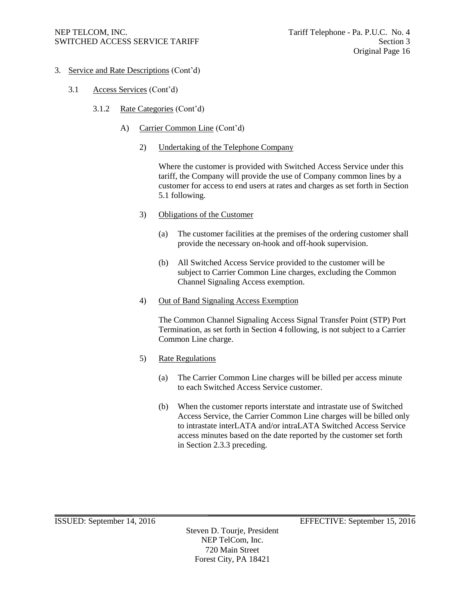- 3. Service and Rate Descriptions (Cont'd)
	- 3.1 Access Services (Cont'd)
		- 3.1.2 Rate Categories (Cont'd)
			- A) Carrier Common Line (Cont'd)
				- 2) Undertaking of the Telephone Company

Where the customer is provided with Switched Access Service under this tariff, the Company will provide the use of Company common lines by a customer for access to end users at rates and charges as set forth in Section 5.1 following.

- 3) Obligations of the Customer
	- (a) The customer facilities at the premises of the ordering customer shall provide the necessary on-hook and off-hook supervision.
	- (b) All Switched Access Service provided to the customer will be subject to Carrier Common Line charges, excluding the Common Channel Signaling Access exemption.
- 4) Out of Band Signaling Access Exemption

The Common Channel Signaling Access Signal Transfer Point (STP) Port Termination, as set forth in Section 4 following, is not subject to a Carrier Common Line charge.

- 5) Rate Regulations
	- (a) The Carrier Common Line charges will be billed per access minute to each Switched Access Service customer.
	- (b) When the customer reports interstate and intrastate use of Switched Access Service, the Carrier Common Line charges will be billed only to intrastate interLATA and/or intraLATA Switched Access Service access minutes based on the date reported by the customer set forth in Section 2.3.3 preceding.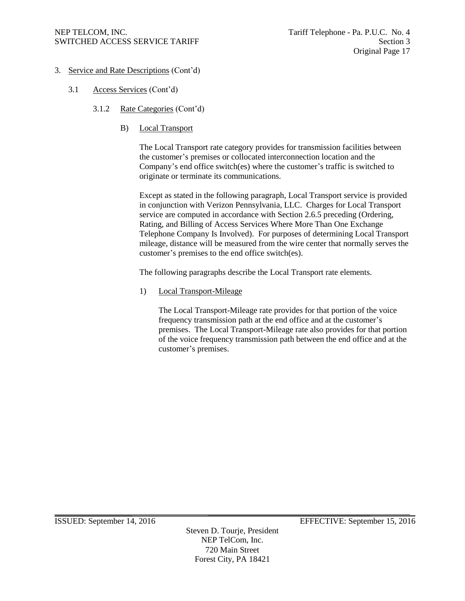- 3. Service and Rate Descriptions (Cont'd)
	- 3.1 Access Services (Cont'd)
		- 3.1.2 Rate Categories (Cont'd)
			- B) Local Transport

The Local Transport rate category provides for transmission facilities between the customer's premises or collocated interconnection location and the Company's end office switch(es) where the customer's traffic is switched to originate or terminate its communications.

Except as stated in the following paragraph, Local Transport service is provided in conjunction with Verizon Pennsylvania, LLC. Charges for Local Transport service are computed in accordance with Section 2.6.5 preceding (Ordering, Rating, and Billing of Access Services Where More Than One Exchange Telephone Company Is Involved). For purposes of determining Local Transport mileage, distance will be measured from the wire center that normally serves the customer's premises to the end office switch(es).

The following paragraphs describe the Local Transport rate elements.

1) Local Transport-Mileage

The Local Transport-Mileage rate provides for that portion of the voice frequency transmission path at the end office and at the customer's premises. The Local Transport-Mileage rate also provides for that portion of the voice frequency transmission path between the end office and at the customer's premises.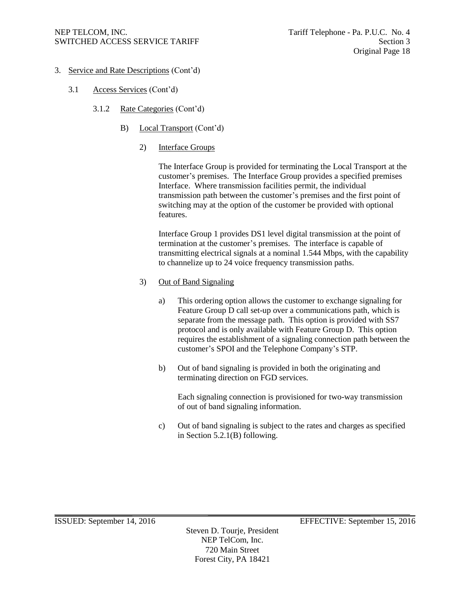- 3. Service and Rate Descriptions (Cont'd)
	- 3.1 Access Services (Cont'd)
		- 3.1.2 Rate Categories (Cont'd)
			- B) Local Transport (Cont'd)
				- 2) Interface Groups

The Interface Group is provided for terminating the Local Transport at the customer's premises. The Interface Group provides a specified premises Interface. Where transmission facilities permit, the individual transmission path between the customer's premises and the first point of switching may at the option of the customer be provided with optional features.

Interface Group 1 provides DS1 level digital transmission at the point of termination at the customer's premises. The interface is capable of transmitting electrical signals at a nominal 1.544 Mbps, with the capability to channelize up to 24 voice frequency transmission paths.

- 3) Out of Band Signaling
	- a) This ordering option allows the customer to exchange signaling for Feature Group D call set-up over a communications path, which is separate from the message path. This option is provided with SS7 protocol and is only available with Feature Group D. This option requires the establishment of a signaling connection path between the customer's SPOI and the Telephone Company's STP.
	- b) Out of band signaling is provided in both the originating and terminating direction on FGD services.

Each signaling connection is provisioned for two-way transmission of out of band signaling information.

c) Out of band signaling is subject to the rates and charges as specified in Section 5.2.1(B) following.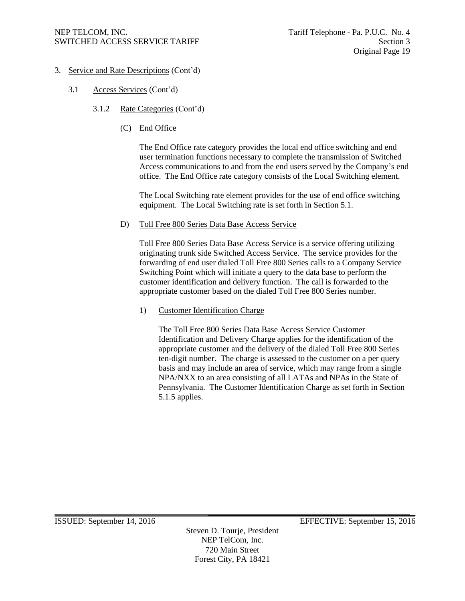- 3. Service and Rate Descriptions (Cont'd)
	- 3.1 Access Services (Cont'd)
		- 3.1.2 Rate Categories (Cont'd)
			- (C) End Office

The End Office rate category provides the local end office switching and end user termination functions necessary to complete the transmission of Switched Access communications to and from the end users served by the Company's end office. The End Office rate category consists of the Local Switching element.

The Local Switching rate element provides for the use of end office switching equipment. The Local Switching rate is set forth in Section 5.1.

D) Toll Free 800 Series Data Base Access Service

Toll Free 800 Series Data Base Access Service is a service offering utilizing originating trunk side Switched Access Service. The service provides for the forwarding of end user dialed Toll Free 800 Series calls to a Company Service Switching Point which will initiate a query to the data base to perform the customer identification and delivery function. The call is forwarded to the appropriate customer based on the dialed Toll Free 800 Series number.

1) Customer Identification Charge

The Toll Free 800 Series Data Base Access Service Customer Identification and Delivery Charge applies for the identification of the appropriate customer and the delivery of the dialed Toll Free 800 Series ten-digit number. The charge is assessed to the customer on a per query basis and may include an area of service, which may range from a single NPA/NXX to an area consisting of all LATAs and NPAs in the State of Pennsylvania. The Customer Identification Charge as set forth in Section 5.1.5 applies.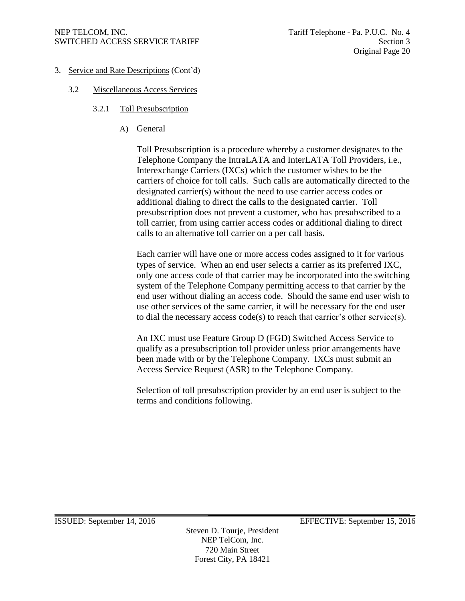- 3. Service and Rate Descriptions (Cont'd)
	- 3.2 Miscellaneous Access Services
		- 3.2.1 Toll Presubscription
			- A) General

Toll Presubscription is a procedure whereby a customer designates to the Telephone Company the IntraLATA and InterLATA Toll Providers, i.e., Interexchange Carriers (IXCs) which the customer wishes to be the carriers of choice for toll calls. Such calls are automatically directed to the designated carrier(s) without the need to use carrier access codes or additional dialing to direct the calls to the designated carrier. Toll presubscription does not prevent a customer, who has presubscribed to a toll carrier, from using carrier access codes or additional dialing to direct calls to an alternative toll carrier on a per call basis**.**

Each carrier will have one or more access codes assigned to it for various types of service. When an end user selects a carrier as its preferred IXC, only one access code of that carrier may be incorporated into the switching system of the Telephone Company permitting access to that carrier by the end user without dialing an access code. Should the same end user wish to use other services of the same carrier, it will be necessary for the end user to dial the necessary access code(s) to reach that carrier's other service(s).

An IXC must use Feature Group D (FGD) Switched Access Service to qualify as a presubscription toll provider unless prior arrangements have been made with or by the Telephone Company. IXCs must submit an Access Service Request (ASR) to the Telephone Company.

Selection of toll presubscription provider by an end user is subject to the terms and conditions following.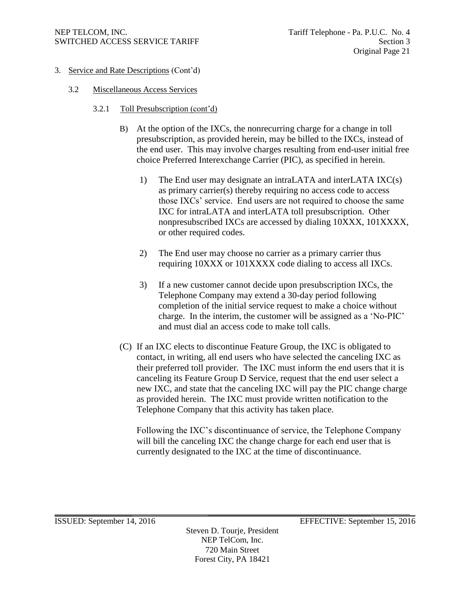- 3. Service and Rate Descriptions (Cont'd)
	- 3.2 Miscellaneous Access Services
		- 3.2.1 Toll Presubscription (cont'd)
			- B) At the option of the IXCs, the nonrecurring charge for a change in toll presubscription, as provided herein, may be billed to the IXCs, instead of the end user. This may involve charges resulting from end-user initial free choice Preferred Interexchange Carrier (PIC), as specified in herein.
				- 1) The End user may designate an intraLATA and interLATA IXC(s) as primary carrier(s) thereby requiring no access code to access those IXCs' service. End users are not required to choose the same IXC for intraLATA and interLATA toll presubscription. Other nonpresubscribed IXCs are accessed by dialing 10XXX, 101XXXX, or other required codes.
				- 2) The End user may choose no carrier as a primary carrier thus requiring 10XXX or 101XXXX code dialing to access all IXCs.
				- 3) If a new customer cannot decide upon presubscription IXCs, the Telephone Company may extend a 30-day period following completion of the initial service request to make a choice without charge. In the interim, the customer will be assigned as a 'No-PIC' and must dial an access code to make toll calls.
			- (C) If an IXC elects to discontinue Feature Group, the IXC is obligated to contact, in writing, all end users who have selected the canceling IXC as their preferred toll provider. The IXC must inform the end users that it is canceling its Feature Group D Service, request that the end user select a new IXC, and state that the canceling IXC will pay the PIC change charge as provided herein. The IXC must provide written notification to the Telephone Company that this activity has taken place.

Following the IXC's discontinuance of service, the Telephone Company will bill the canceling IXC the change charge for each end user that is currently designated to the IXC at the time of discontinuance.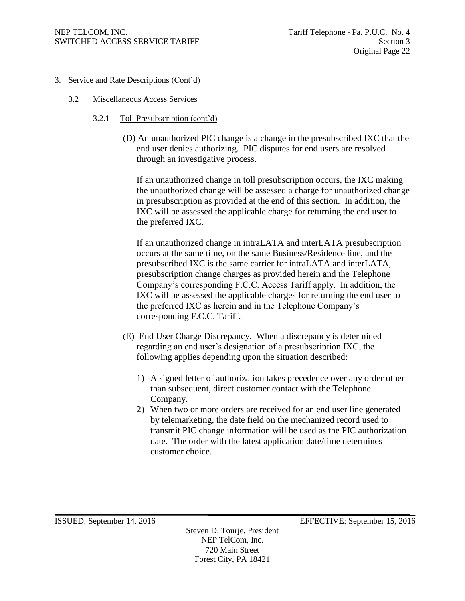- 3. Service and Rate Descriptions (Cont'd)
	- 3.2 Miscellaneous Access Services
		- 3.2.1 Toll Presubscription (cont'd)
			- (D) An unauthorized PIC change is a change in the presubscribed IXC that the end user denies authorizing. PIC disputes for end users are resolved through an investigative process.

If an unauthorized change in toll presubscription occurs, the IXC making the unauthorized change will be assessed a charge for unauthorized change in presubscription as provided at the end of this section. In addition, the IXC will be assessed the applicable charge for returning the end user to the preferred IXC.

If an unauthorized change in intraLATA and interLATA presubscription occurs at the same time, on the same Business/Residence line, and the presubscribed IXC is the same carrier for intraLATA and interLATA, presubscription change charges as provided herein and the Telephone Company's corresponding F.C.C. Access Tariff apply. In addition, the IXC will be assessed the applicable charges for returning the end user to the preferred IXC as herein and in the Telephone Company's corresponding F.C.C. Tariff.

- (E) End User Charge Discrepancy. When a discrepancy is determined regarding an end user's designation of a presubscription IXC, the following applies depending upon the situation described:
	- 1) A signed letter of authorization takes precedence over any order other than subsequent, direct customer contact with the Telephone Company.
	- 2) When two or more orders are received for an end user line generated by telemarketing, the date field on the mechanized record used to transmit PIC change information will be used as the PIC authorization date. The order with the latest application date/time determines customer choice.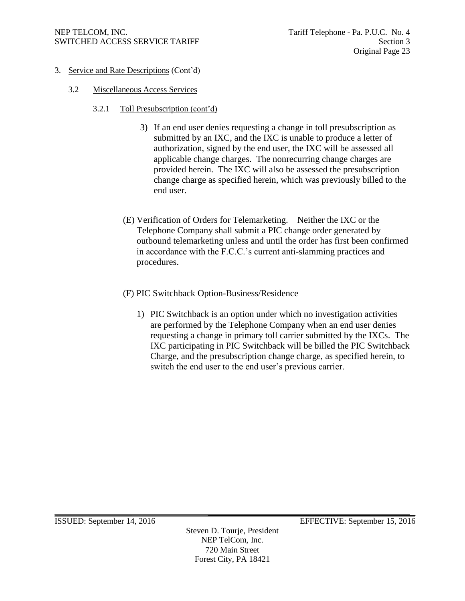- 3. Service and Rate Descriptions (Cont'd)
	- 3.2 Miscellaneous Access Services
		- 3.2.1 Toll Presubscription (cont'd)
			- 3) If an end user denies requesting a change in toll presubscription as submitted by an IXC, and the IXC is unable to produce a letter of authorization, signed by the end user, the IXC will be assessed all applicable change charges. The nonrecurring change charges are provided herein. The IXC will also be assessed the presubscription change charge as specified herein, which was previously billed to the end user.
			- (E) Verification of Orders for Telemarketing. Neither the IXC or the Telephone Company shall submit a PIC change order generated by outbound telemarketing unless and until the order has first been confirmed in accordance with the F.C.C.'s current anti-slamming practices and procedures.
			- (F) PIC Switchback Option-Business/Residence
				- 1) PIC Switchback is an option under which no investigation activities are performed by the Telephone Company when an end user denies requesting a change in primary toll carrier submitted by the IXCs. The IXC participating in PIC Switchback will be billed the PIC Switchback Charge, and the presubscription change charge, as specified herein, to switch the end user to the end user's previous carrier.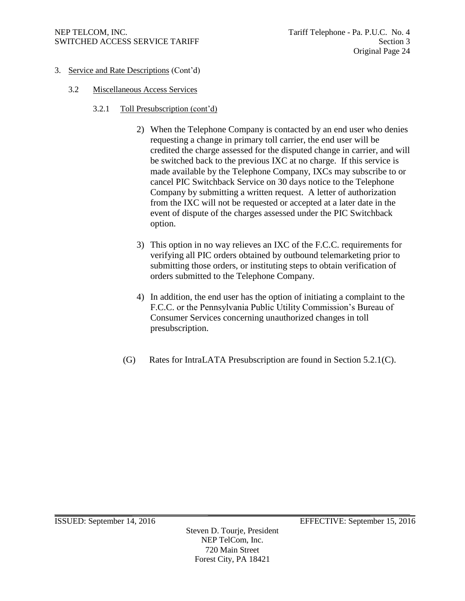- 3. Service and Rate Descriptions (Cont'd)
	- 3.2 Miscellaneous Access Services
		- 3.2.1 Toll Presubscription (cont'd)
			- 2) When the Telephone Company is contacted by an end user who denies requesting a change in primary toll carrier, the end user will be credited the charge assessed for the disputed change in carrier, and will be switched back to the previous IXC at no charge. If this service is made available by the Telephone Company, IXCs may subscribe to or cancel PIC Switchback Service on 30 days notice to the Telephone Company by submitting a written request. A letter of authorization from the IXC will not be requested or accepted at a later date in the event of dispute of the charges assessed under the PIC Switchback option.
			- 3) This option in no way relieves an IXC of the F.C.C. requirements for verifying all PIC orders obtained by outbound telemarketing prior to submitting those orders, or instituting steps to obtain verification of orders submitted to the Telephone Company.
			- 4) In addition, the end user has the option of initiating a complaint to the F.C.C. or the Pennsylvania Public Utility Commission's Bureau of Consumer Services concerning unauthorized changes in toll presubscription.
			- (G) Rates for IntraLATA Presubscription are found in Section 5.2.1(C).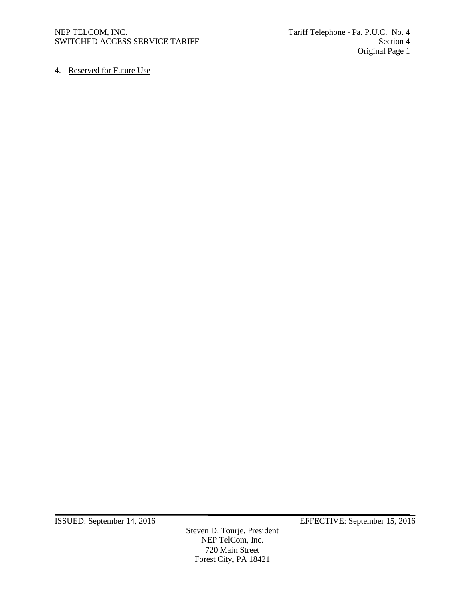4. Reserved for Future Use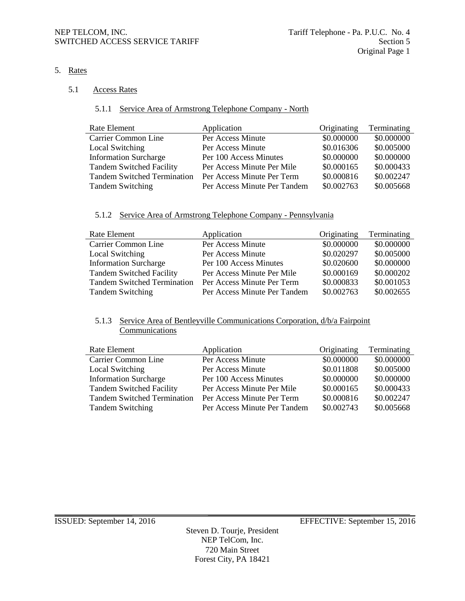5. Rates

#### 5.1 Access Rates

## 5.1.1 Service Area of Armstrong Telephone Company - North

| Rate Element                       | Application                  | Originating | Terminating |
|------------------------------------|------------------------------|-------------|-------------|
| Carrier Common Line                | Per Access Minute            | \$0.000000  | \$0.000000  |
| Local Switching                    | Per Access Minute            | \$0.016306  | \$0.005000  |
| <b>Information Surcharge</b>       | Per 100 Access Minutes       | \$0.000000  | \$0.000000  |
| <b>Tandem Switched Facility</b>    | Per Access Minute Per Mile   | \$0.000165  | \$0.000433  |
| <b>Tandem Switched Termination</b> | Per Access Minute Per Term   | \$0.000816  | \$0.002247  |
| <b>Tandem Switching</b>            | Per Access Minute Per Tandem | \$0.002763  | \$0.005668  |

# 5.1.2 Service Area of Armstrong Telephone Company - Pennsylvania

| Rate Element                       | Application                  | Originating | Terminating |
|------------------------------------|------------------------------|-------------|-------------|
| Carrier Common Line                | Per Access Minute            | \$0.000000  | \$0.000000  |
| Local Switching                    | Per Access Minute            | \$0.020297  | \$0.005000  |
| <b>Information Surcharge</b>       | Per 100 Access Minutes       | \$0.020600  | \$0.000000  |
| <b>Tandem Switched Facility</b>    | Per Access Minute Per Mile   | \$0.000169  | \$0.000202  |
| <b>Tandem Switched Termination</b> | Per Access Minute Per Term   | \$0.000833  | \$0.001053  |
| <b>Tandem Switching</b>            | Per Access Minute Per Tandem | \$0.002763  | \$0.002655  |

## 5.1.3 Service Area of Bentleyville Communications Corporation, d/b/a Fairpoint **Communications**

| Rate Element                       | Application                  | Originating | Terminating |
|------------------------------------|------------------------------|-------------|-------------|
| Carrier Common Line                | Per Access Minute            | \$0.000000  | \$0.000000  |
| Local Switching                    | Per Access Minute            | \$0.011808  | \$0.005000  |
| <b>Information Surcharge</b>       | Per 100 Access Minutes       | \$0.000000  | \$0.000000  |
| <b>Tandem Switched Facility</b>    | Per Access Minute Per Mile   | \$0.000165  | \$0.000433  |
| <b>Tandem Switched Termination</b> | Per Access Minute Per Term   | \$0.000816  | \$0.002247  |
| <b>Tandem Switching</b>            | Per Access Minute Per Tandem | \$0.002743  | \$0.005668  |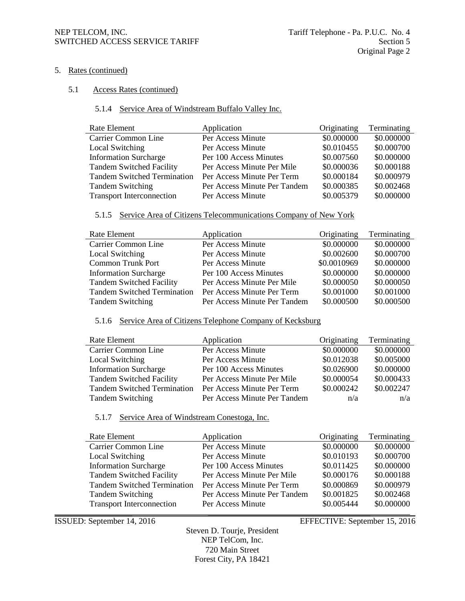#### NEP TELCOM, INC.<br>SWITCHED ACCESS SERVICE TARIFF Section 5 SWITCHED ACCESS SERVICE TARIFF

#### 5. Rates (continued)

#### 5.1 Access Rates (continued)

# 5.1.4 Service Area of Windstream Buffalo Valley Inc.

| Rate Element                       | Application                  | Originating | Terminating |
|------------------------------------|------------------------------|-------------|-------------|
| Carrier Common Line                | Per Access Minute            | \$0.000000  | \$0.000000  |
| Local Switching                    | Per Access Minute            | \$0.010455  | \$0.000700  |
| <b>Information Surcharge</b>       | Per 100 Access Minutes       | \$0.007560  | \$0.000000  |
| <b>Tandem Switched Facility</b>    | Per Access Minute Per Mile   | \$0.000036  | \$0.000188  |
| <b>Tandem Switched Termination</b> | Per Access Minute Per Term   | \$0.000184  | \$0.000979  |
| <b>Tandem Switching</b>            | Per Access Minute Per Tandem | \$0.000385  | \$0.002468  |
| <b>Transport Interconnection</b>   | Per Access Minute            | \$0.005379  | \$0.000000  |

#### 5.1.5 Service Area of Citizens Telecommunications Company of New York

| Rate Element                       | Application                  | Originating | Terminating |
|------------------------------------|------------------------------|-------------|-------------|
| Carrier Common Line                | Per Access Minute            | \$0.000000  | \$0.000000  |
| Local Switching                    | Per Access Minute            | \$0.002600  | \$0.000700  |
| <b>Common Trunk Port</b>           | Per Access Minute            | \$0.0010969 | \$0.000000  |
| <b>Information Surcharge</b>       | Per 100 Access Minutes       | \$0.000000  | \$0.000000  |
| <b>Tandem Switched Facility</b>    | Per Access Minute Per Mile   | \$0.000050  | \$0.000050  |
| <b>Tandem Switched Termination</b> | Per Access Minute Per Term   | \$0.001000  | \$0.001000  |
| <b>Tandem Switching</b>            | Per Access Minute Per Tandem | \$0.000500  | \$0.000500  |

#### 5.1.6 Service Area of Citizens Telephone Company of Kecksburg

| Rate Element                       | Application                  | Originating | Terminating |
|------------------------------------|------------------------------|-------------|-------------|
| Carrier Common Line                | Per Access Minute            | \$0.000000  | \$0.000000  |
| Local Switching                    | Per Access Minute            | \$0.012038  | \$0.005000  |
| <b>Information Surcharge</b>       | Per 100 Access Minutes       | \$0.026900  | \$0.000000  |
| <b>Tandem Switched Facility</b>    | Per Access Minute Per Mile   | \$0.000054  | \$0.000433  |
| <b>Tandem Switched Termination</b> | Per Access Minute Per Term   | \$0.000242  | \$0.002247  |
| <b>Tandem Switching</b>            | Per Access Minute Per Tandem | n/a         | n/a         |

#### 5.1.7 Service Area of Windstream Conestoga, Inc.

| Rate Element                       | Application                  | Originating | Terminating |
|------------------------------------|------------------------------|-------------|-------------|
| Carrier Common Line                | Per Access Minute            | \$0.000000  | \$0.000000  |
| Local Switching                    | Per Access Minute            | \$0.010193  | \$0.000700  |
| <b>Information Surcharge</b>       | Per 100 Access Minutes       | \$0.011425  | \$0.000000  |
| <b>Tandem Switched Facility</b>    | Per Access Minute Per Mile   | \$0.000176  | \$0.000188  |
| <b>Tandem Switched Termination</b> | Per Access Minute Per Term   | \$0.000869  | \$0.000979  |
| <b>Tandem Switching</b>            | Per Access Minute Per Tandem | \$0.001825  | \$0.002468  |
| <b>Transport Interconnection</b>   | Per Access Minute            | \$0.005444  | \$0.000000  |

ISSUED: September 14, 2016 EFFECTIVE: September 15, 2016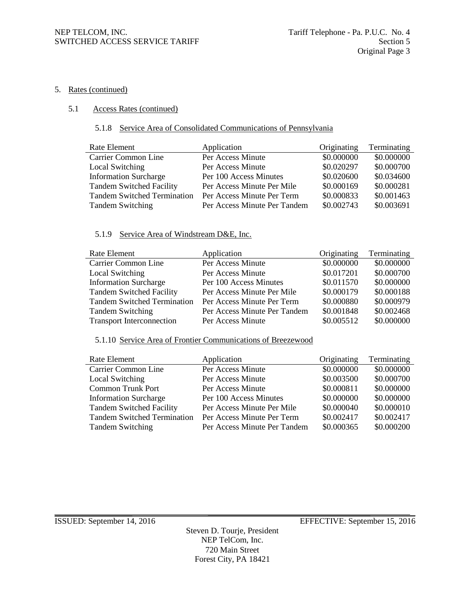#### 5. Rates (continued)

## 5.1 Access Rates (continued)

#### 5.1.8 Service Area of Consolidated Communications of Pennsylvania

| Rate Element                       | Application                  | Originating | Terminating |
|------------------------------------|------------------------------|-------------|-------------|
| Carrier Common Line                | Per Access Minute            | \$0.000000  | \$0.000000  |
| Local Switching                    | Per Access Minute            | \$0.020297  | \$0.000700  |
| <b>Information Surcharge</b>       | Per 100 Access Minutes       | \$0.020600  | \$0.034600  |
| <b>Tandem Switched Facility</b>    | Per Access Minute Per Mile   | \$0.000169  | \$0.000281  |
| <b>Tandem Switched Termination</b> | Per Access Minute Per Term   | \$0.000833  | \$0.001463  |
| <b>Tandem Switching</b>            | Per Access Minute Per Tandem | \$0.002743  | \$0.003691  |

# 5.1.9 Service Area of Windstream D&E, Inc.

| Rate Element                       | Application                  | Originating | Terminating |
|------------------------------------|------------------------------|-------------|-------------|
| Carrier Common Line                | Per Access Minute            | \$0.000000  | \$0.000000  |
| Local Switching                    | Per Access Minute            | \$0.017201  | \$0.000700  |
| <b>Information Surcharge</b>       | Per 100 Access Minutes       | \$0.011570  | \$0.000000  |
| <b>Tandem Switched Facility</b>    | Per Access Minute Per Mile   | \$0.000179  | \$0.000188  |
| <b>Tandem Switched Termination</b> | Per Access Minute Per Term   | \$0.000880  | \$0.000979  |
| <b>Tandem Switching</b>            | Per Access Minute Per Tandem | \$0.001848  | \$0.002468  |
| <b>Transport Interconnection</b>   | Per Access Minute            | \$0.005512  | \$0.000000  |

# 5.1.10 Service Area of Frontier Communications of Breezewood

| Rate Element                       | Application                  | Originating | Terminating |
|------------------------------------|------------------------------|-------------|-------------|
| Carrier Common Line                | Per Access Minute            | \$0.000000  | \$0.000000  |
| Local Switching                    | Per Access Minute            | \$0.003500  | \$0.000700  |
| <b>Common Trunk Port</b>           | Per Access Minute            | \$0.000811  | \$0.000000  |
| <b>Information Surcharge</b>       | Per 100 Access Minutes       | \$0.000000  | \$0.000000  |
| <b>Tandem Switched Facility</b>    | Per Access Minute Per Mile   | \$0.000040  | \$0.000010  |
| <b>Tandem Switched Termination</b> | Per Access Minute Per Term   | \$0.002417  | \$0.002417  |
| <b>Tandem Switching</b>            | Per Access Minute Per Tandem | \$0.000365  | \$0.000200  |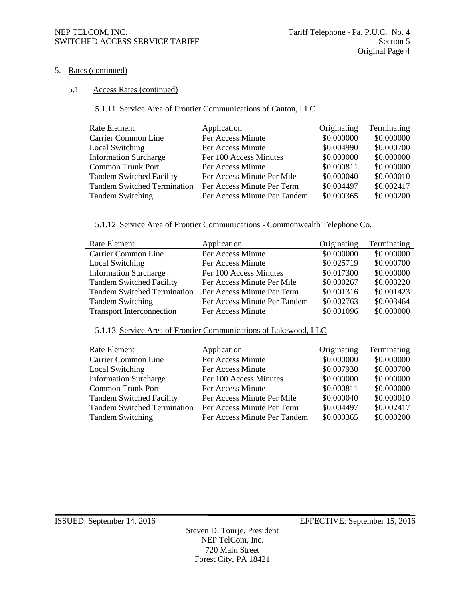### 5. Rates (continued)

#### 5.1 Access Rates (continued)

# 5.1.11 Service Area of Frontier Communications of Canton, LLC

| Rate Element                       | Application                  | Originating | Terminating |
|------------------------------------|------------------------------|-------------|-------------|
| Carrier Common Line                | Per Access Minute            | \$0.000000  | \$0.000000  |
| Local Switching                    | Per Access Minute            | \$0.004990  | \$0.000700  |
| <b>Information Surcharge</b>       | Per 100 Access Minutes       | \$0.000000  | \$0.000000  |
| <b>Common Trunk Port</b>           | Per Access Minute            | \$0.000811  | \$0.000000  |
| <b>Tandem Switched Facility</b>    | Per Access Minute Per Mile   | \$0.000040  | \$0.000010  |
| <b>Tandem Switched Termination</b> | Per Access Minute Per Term   | \$0.004497  | \$0.002417  |
| <b>Tandem Switching</b>            | Per Access Minute Per Tandem | \$0.000365  | \$0.000200  |

#### 5.1.12 Service Area of Frontier Communications - Commonwealth Telephone Co.

| Rate Element                       | Application                  | Originating | Terminating |
|------------------------------------|------------------------------|-------------|-------------|
| Carrier Common Line                | Per Access Minute            | \$0.000000  | \$0.000000  |
| Local Switching                    | Per Access Minute            | \$0.025719  | \$0.000700  |
| <b>Information Surcharge</b>       | Per 100 Access Minutes       | \$0.017300  | \$0.000000  |
| <b>Tandem Switched Facility</b>    | Per Access Minute Per Mile   | \$0.000267  | \$0.003220  |
| <b>Tandem Switched Termination</b> | Per Access Minute Per Term   | \$0.001316  | \$0.001423  |
| <b>Tandem Switching</b>            | Per Access Minute Per Tandem | \$0.002763  | \$0.003464  |
| <b>Transport Interconnection</b>   | Per Access Minute            | \$0.001096  | \$0.000000  |

# 5.1.13 Service Area of Frontier Communications of Lakewood, LLC

| Rate Element                       | Application                  | Originating | Terminating |
|------------------------------------|------------------------------|-------------|-------------|
| Carrier Common Line                | Per Access Minute            | \$0.000000  | \$0.000000  |
| Local Switching                    | Per Access Minute            | \$0.007930  | \$0.000700  |
| <b>Information Surcharge</b>       | Per 100 Access Minutes       | \$0.000000  | \$0.000000  |
| <b>Common Trunk Port</b>           | Per Access Minute            | \$0.000811  | \$0.000000  |
| <b>Tandem Switched Facility</b>    | Per Access Minute Per Mile   | \$0.000040  | \$0.000010  |
| <b>Tandem Switched Termination</b> | Per Access Minute Per Term   | \$0.004497  | \$0.002417  |
| <b>Tandem Switching</b>            | Per Access Minute Per Tandem | \$0.000365  | \$0.000200  |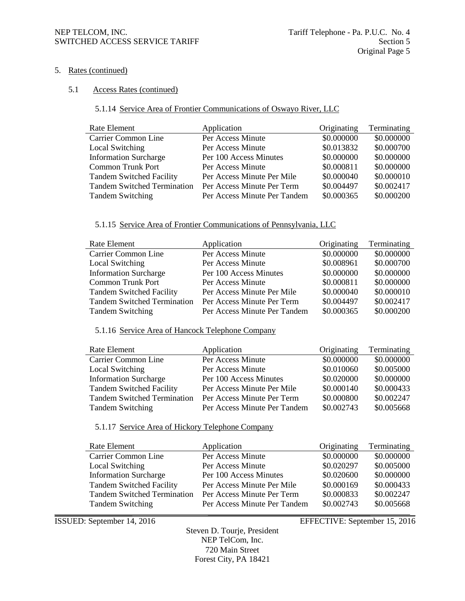#### NEP TELCOM, INC. Tariff Telephone - Pa. P.U.C. No. 4 SWITCHED ACCESS SERVICE TARIFF SECTION AND SECTION 5

#### 5. Rates (continued)

#### 5.1 Access Rates (continued)

# 5.1.14 Service Area of Frontier Communications of Oswayo River, LLC

| Rate Element                       | Application                  | Originating | Terminating |
|------------------------------------|------------------------------|-------------|-------------|
| Carrier Common Line                | Per Access Minute            | \$0.000000  | \$0.000000  |
| Local Switching                    | Per Access Minute            | \$0.013832  | \$0.000700  |
| <b>Information Surcharge</b>       | Per 100 Access Minutes       | \$0.000000  | \$0.000000  |
| <b>Common Trunk Port</b>           | Per Access Minute            | \$0.000811  | \$0.000000  |
| <b>Tandem Switched Facility</b>    | Per Access Minute Per Mile   | \$0.000040  | \$0.000010  |
| <b>Tandem Switched Termination</b> | Per Access Minute Per Term   | \$0.004497  | \$0.002417  |
| <b>Tandem Switching</b>            | Per Access Minute Per Tandem | \$0.000365  | \$0.000200  |

#### 5.1.15 Service Area of Frontier Communications of Pennsylvania, LLC

| Rate Element                       | Application                  | Originating | Terminating |
|------------------------------------|------------------------------|-------------|-------------|
| Carrier Common Line                | Per Access Minute            | \$0.000000  | \$0.000000  |
| Local Switching                    | Per Access Minute            | \$0.008961  | \$0.000700  |
| <b>Information Surcharge</b>       | Per 100 Access Minutes       | \$0.000000  | \$0.000000  |
| <b>Common Trunk Port</b>           | Per Access Minute            | \$0.000811  | \$0.000000  |
| <b>Tandem Switched Facility</b>    | Per Access Minute Per Mile   | \$0.000040  | \$0.000010  |
| <b>Tandem Switched Termination</b> | Per Access Minute Per Term   | \$0.004497  | \$0.002417  |
| <b>Tandem Switching</b>            | Per Access Minute Per Tandem | \$0.000365  | \$0.000200  |

# 5.1.16 Service Area of Hancock Telephone Company

| Rate Element                       | Application                  | Originating | Terminating |
|------------------------------------|------------------------------|-------------|-------------|
| Carrier Common Line                | Per Access Minute            | \$0.000000  | \$0.000000  |
| Local Switching                    | Per Access Minute            | \$0.010060  | \$0.005000  |
| <b>Information Surcharge</b>       | Per 100 Access Minutes       | \$0.020000  | \$0.000000  |
| <b>Tandem Switched Facility</b>    | Per Access Minute Per Mile   | \$0.000140  | \$0.000433  |
| <b>Tandem Switched Termination</b> | Per Access Minute Per Term   | \$0.000800  | \$0.002247  |
| <b>Tandem Switching</b>            | Per Access Minute Per Tandem | \$0.002743  | \$0.005668  |

## 5.1.17 Service Area of Hickory Telephone Company

| Rate Element                       | Application                  | Originating | Terminating |
|------------------------------------|------------------------------|-------------|-------------|
| Carrier Common Line                | Per Access Minute            | \$0.000000  | \$0.000000  |
| Local Switching                    | Per Access Minute            | \$0.020297  | \$0.005000  |
| <b>Information Surcharge</b>       | Per 100 Access Minutes       | \$0.020600  | \$0.000000  |
| <b>Tandem Switched Facility</b>    | Per Access Minute Per Mile   | \$0.000169  | \$0.000433  |
| <b>Tandem Switched Termination</b> | Per Access Minute Per Term   | \$0.000833  | \$0.002247  |
| <b>Tandem Switching</b>            | Per Access Minute Per Tandem | \$0.002743  | \$0.005668  |

ISSUED: September 14, 2016 EFFECTIVE: September 15, 2016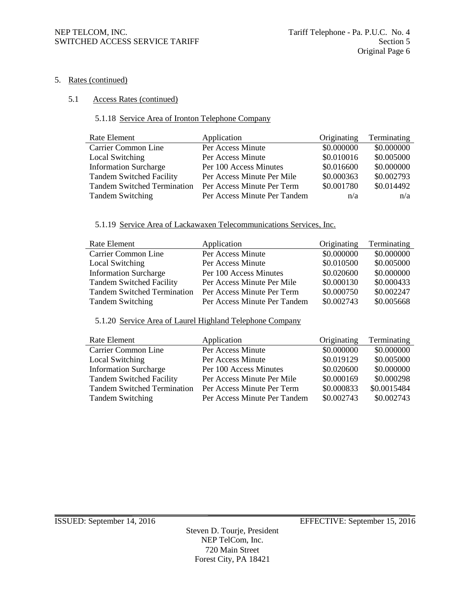#### 5. Rates (continued)

#### 5.1 Access Rates (continued)

# 5.1.18 Service Area of Ironton Telephone Company

| Rate Element                       | Application                  | Originating | Terminating |
|------------------------------------|------------------------------|-------------|-------------|
| Carrier Common Line                | Per Access Minute            | \$0.000000  | \$0.000000  |
| Local Switching                    | Per Access Minute            | \$0.010016  | \$0.005000  |
| <b>Information Surcharge</b>       | Per 100 Access Minutes       | \$0.016600  | \$0.000000  |
| <b>Tandem Switched Facility</b>    | Per Access Minute Per Mile   | \$0.000363  | \$0.002793  |
| <b>Tandem Switched Termination</b> | Per Access Minute Per Term   | \$0.001780  | \$0.014492  |
| <b>Tandem Switching</b>            | Per Access Minute Per Tandem | n/a         | n/a         |

#### 5.1.19 Service Area of Lackawaxen Telecommunications Services, Inc.

| Rate Element                       | Application                  | Originating | Terminating |
|------------------------------------|------------------------------|-------------|-------------|
| Carrier Common Line                | Per Access Minute            | \$0.000000  | \$0.000000  |
| Local Switching                    | Per Access Minute            | \$0.010500  | \$0.005000  |
| <b>Information Surcharge</b>       | Per 100 Access Minutes       | \$0.020600  | \$0.000000  |
| <b>Tandem Switched Facility</b>    | Per Access Minute Per Mile   | \$0.000130  | \$0.000433  |
| <b>Tandem Switched Termination</b> | Per Access Minute Per Term   | \$0.000750  | \$0.002247  |
| <b>Tandem Switching</b>            | Per Access Minute Per Tandem | \$0.002743  | \$0.005668  |

#### 5.1.20 Service Area of Laurel Highland Telephone Company

| Rate Element                       | Application                  | Originating | Terminating |
|------------------------------------|------------------------------|-------------|-------------|
| Carrier Common Line                | Per Access Minute            | \$0.000000  | \$0.000000  |
| Local Switching                    | Per Access Minute            | \$0.019129  | \$0.005000  |
| <b>Information Surcharge</b>       | Per 100 Access Minutes       | \$0.020600  | \$0.000000  |
| <b>Tandem Switched Facility</b>    | Per Access Minute Per Mile   | \$0.000169  | \$0.000298  |
| <b>Tandem Switched Termination</b> | Per Access Minute Per Term   | \$0.000833  | \$0.0015484 |
| <b>Tandem Switching</b>            | Per Access Minute Per Tandem | \$0.002743  | \$0.002743  |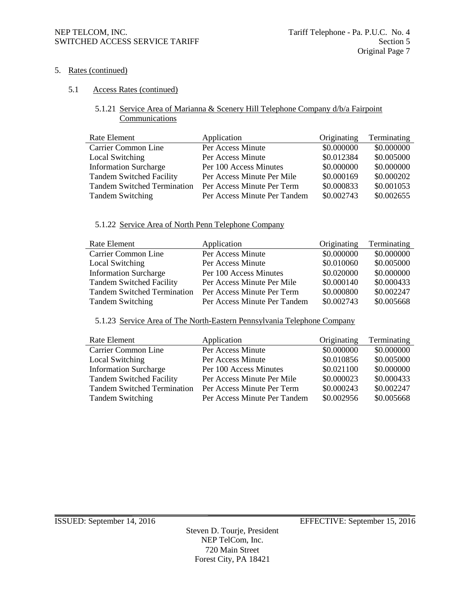### NEP TELCOM, INC.<br>SWITCHED ACCESS SERVICE TARIFF Section 5 SWITCHED ACCESS SERVICE TARIFF

# 5. Rates (continued)

# 5.1 Access Rates (continued)

# 5.1.21 Service Area of Marianna & Scenery Hill Telephone Company d/b/a Fairpoint **Communications**

| Application                  | Originating | Terminating |
|------------------------------|-------------|-------------|
| Per Access Minute            | \$0.000000  | \$0.000000  |
| Per Access Minute            | \$0.012384  | \$0.005000  |
| Per 100 Access Minutes       | \$0.000000  | \$0.000000  |
| Per Access Minute Per Mile   | \$0.000169  | \$0.000202  |
| Per Access Minute Per Term   | \$0.000833  | \$0.001053  |
| Per Access Minute Per Tandem | \$0.002743  | \$0.002655  |
|                              |             |             |

#### 5.1.22 Service Area of North Penn Telephone Company

| Rate Element                       | Application                  | Originating | Terminating |
|------------------------------------|------------------------------|-------------|-------------|
| Carrier Common Line                | Per Access Minute            | \$0.000000  | \$0.000000  |
| Local Switching                    | Per Access Minute            | \$0.010060  | \$0.005000  |
| <b>Information Surcharge</b>       | Per 100 Access Minutes       | \$0.020000  | \$0.000000  |
| <b>Tandem Switched Facility</b>    | Per Access Minute Per Mile   | \$0.000140  | \$0.000433  |
| <b>Tandem Switched Termination</b> | Per Access Minute Per Term   | \$0.000800  | \$0.002247  |
| <b>Tandem Switching</b>            | Per Access Minute Per Tandem | \$0.002743  | \$0.005668  |

#### 5.1.23 Service Area of The North-Eastern Pennsylvania Telephone Company

| Rate Element                       | Application                  | Originating | Terminating |
|------------------------------------|------------------------------|-------------|-------------|
| Carrier Common Line                | Per Access Minute            | \$0.000000  | \$0.000000  |
| Local Switching                    | Per Access Minute            | \$0.010856  | \$0.005000  |
| <b>Information Surcharge</b>       | Per 100 Access Minutes       | \$0.021100  | \$0.000000  |
| <b>Tandem Switched Facility</b>    | Per Access Minute Per Mile   | \$0.000023  | \$0.000433  |
| <b>Tandem Switched Termination</b> | Per Access Minute Per Term   | \$0.000243  | \$0.002247  |
| <b>Tandem Switching</b>            | Per Access Minute Per Tandem | \$0.002956  | \$0.005668  |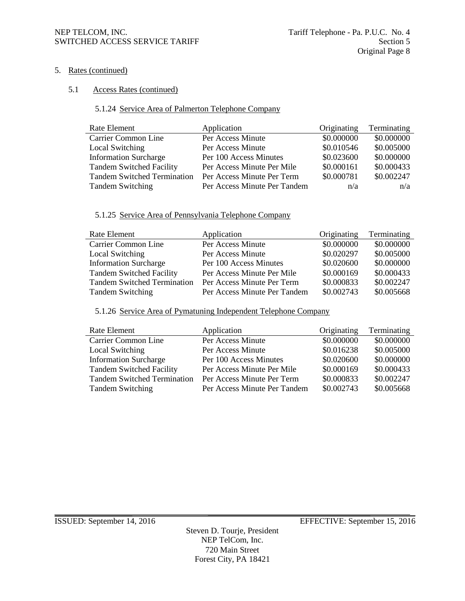### NEP TELCOM, INC. Tariff Telephone - Pa. P.U.C. No. 4 SWITCHED ACCESS SERVICE TARIFF SECTION SECTION 5

### 5. Rates (continued)

#### 5.1 Access Rates (continued)

# 5.1.24 Service Area of Palmerton Telephone Company

| Rate Element                       | Application                  | Originating | Terminating |
|------------------------------------|------------------------------|-------------|-------------|
| Carrier Common Line                | Per Access Minute            | \$0.000000  | \$0.000000  |
| Local Switching                    | Per Access Minute            | \$0.010546  | \$0.005000  |
| <b>Information Surcharge</b>       | Per 100 Access Minutes       | \$0.023600  | \$0.000000  |
| <b>Tandem Switched Facility</b>    | Per Access Minute Per Mile   | \$0.000161  | \$0.000433  |
| <b>Tandem Switched Termination</b> | Per Access Minute Per Term   | \$0.000781  | \$0.002247  |
| <b>Tandem Switching</b>            | Per Access Minute Per Tandem | n/a         | n/a         |

#### 5.1.25 Service Area of Pennsylvania Telephone Company

| Rate Element                       | Application                  | Originating | Terminating |
|------------------------------------|------------------------------|-------------|-------------|
| Carrier Common Line                | Per Access Minute            | \$0.000000  | \$0.000000  |
| Local Switching                    | Per Access Minute            | \$0.020297  | \$0.005000  |
| <b>Information Surcharge</b>       | Per 100 Access Minutes       | \$0.020600  | \$0.000000  |
| <b>Tandem Switched Facility</b>    | Per Access Minute Per Mile   | \$0.000169  | \$0.000433  |
| <b>Tandem Switched Termination</b> | Per Access Minute Per Term   | \$0.000833  | \$0.002247  |
| <b>Tandem Switching</b>            | Per Access Minute Per Tandem | \$0.002743  | \$0.005668  |

#### 5.1.26 Service Area of Pymatuning Independent Telephone Company

| Rate Element                       | Application                  | Originating | Terminating |
|------------------------------------|------------------------------|-------------|-------------|
| Carrier Common Line                | Per Access Minute            | \$0.000000  | \$0.000000  |
| Local Switching                    | Per Access Minute            | \$0.016238  | \$0.005000  |
| <b>Information Surcharge</b>       | Per 100 Access Minutes       | \$0.020600  | \$0.000000  |
| <b>Tandem Switched Facility</b>    | Per Access Minute Per Mile   | \$0.000169  | \$0.000433  |
| <b>Tandem Switched Termination</b> | Per Access Minute Per Term   | \$0.000833  | \$0.002247  |
| <b>Tandem Switching</b>            | Per Access Minute Per Tandem | \$0.002743  | \$0.005668  |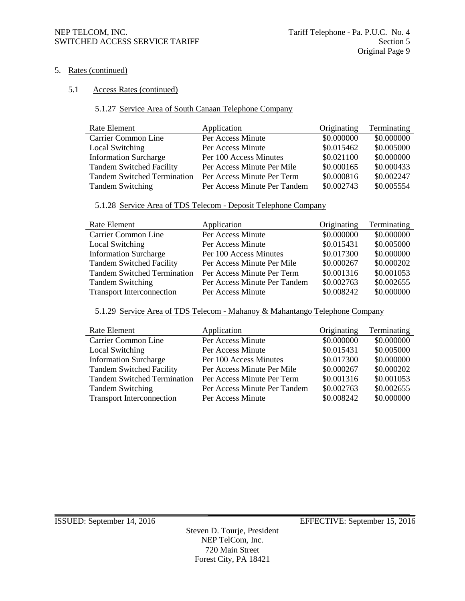#### NEP TELCOM, INC. Tariff Telephone - Pa. P.U.C. No. 4 SWITCHED ACCESS SERVICE TARIFF Section 5

5. Rates (continued)

# 5.1 Access Rates (continued)

# 5.1.27 Service Area of South Canaan Telephone Company

| Rate Element                       | Application                  | Originating | Terminating |
|------------------------------------|------------------------------|-------------|-------------|
| Carrier Common Line                | Per Access Minute            | \$0.000000  | \$0.000000  |
| Local Switching                    | Per Access Minute            | \$0.015462  | \$0.005000  |
| <b>Information Surcharge</b>       | Per 100 Access Minutes       | \$0.021100  | \$0.000000  |
| <b>Tandem Switched Facility</b>    | Per Access Minute Per Mile   | \$0.000165  | \$0.000433  |
| <b>Tandem Switched Termination</b> | Per Access Minute Per Term   | \$0.000816  | \$0.002247  |
| <b>Tandem Switching</b>            | Per Access Minute Per Tandem | \$0.002743  | \$0.005554  |

# 5.1.28 Service Area of TDS Telecom - Deposit Telephone Company

| Rate Element                       | Application                  | Originating | Terminating |
|------------------------------------|------------------------------|-------------|-------------|
| Carrier Common Line                | Per Access Minute            | \$0.000000  | \$0.000000  |
| Local Switching                    | Per Access Minute            | \$0.015431  | \$0.005000  |
| <b>Information Surcharge</b>       | Per 100 Access Minutes       | \$0.017300  | \$0.000000  |
| <b>Tandem Switched Facility</b>    | Per Access Minute Per Mile   | \$0.000267  | \$0.000202  |
| <b>Tandem Switched Termination</b> | Per Access Minute Per Term   | \$0.001316  | \$0.001053  |
| <b>Tandem Switching</b>            | Per Access Minute Per Tandem | \$0.002763  | \$0.002655  |
| <b>Transport Interconnection</b>   | Per Access Minute            | \$0.008242  | \$0.000000  |

#### 5.1.29 Service Area of TDS Telecom - Mahanoy & Mahantango Telephone Company

| Rate Element                       | Application                  | Originating | Terminating |
|------------------------------------|------------------------------|-------------|-------------|
| Carrier Common Line                | Per Access Minute            | \$0.000000  | \$0.000000  |
| Local Switching                    | Per Access Minute            | \$0.015431  | \$0.005000  |
| <b>Information Surcharge</b>       | Per 100 Access Minutes       | \$0.017300  | \$0.000000  |
| <b>Tandem Switched Facility</b>    | Per Access Minute Per Mile   | \$0.000267  | \$0.000202  |
| <b>Tandem Switched Termination</b> | Per Access Minute Per Term   | \$0.001316  | \$0.001053  |
| <b>Tandem Switching</b>            | Per Access Minute Per Tandem | \$0.002763  | \$0.002655  |
| <b>Transport Interconnection</b>   | Per Access Minute            | \$0.008242  | \$0.000000  |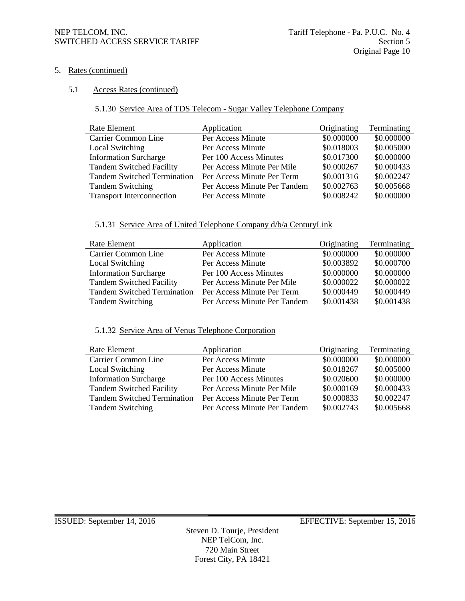#### NEP TELCOM, INC. Tariff Telephone - Pa. P.U.C. No. 4 SWITCHED ACCESS SERVICE TARIFF SECTION SECTION 5

### 5. Rates (continued)

#### 5.1 Access Rates (continued)

# 5.1.30 Service Area of TDS Telecom - Sugar Valley Telephone Company

| Rate Element                       | Application                  | Originating | Terminating |
|------------------------------------|------------------------------|-------------|-------------|
| Carrier Common Line                | Per Access Minute            | \$0.000000  | \$0.000000  |
| Local Switching                    | Per Access Minute            | \$0.018003  | \$0.005000  |
| <b>Information Surcharge</b>       | Per 100 Access Minutes       | \$0.017300  | \$0.000000  |
| <b>Tandem Switched Facility</b>    | Per Access Minute Per Mile   | \$0.000267  | \$0.000433  |
| <b>Tandem Switched Termination</b> | Per Access Minute Per Term   | \$0.001316  | \$0.002247  |
| <b>Tandem Switching</b>            | Per Access Minute Per Tandem | \$0.002763  | \$0.005668  |
| <b>Transport Interconnection</b>   | Per Access Minute            | \$0.008242  | \$0.000000  |

#### 5.1.31 Service Area of United Telephone Company d/b/a CenturyLink

| Rate Element                       | Application                  | Originating | Terminating |
|------------------------------------|------------------------------|-------------|-------------|
| Carrier Common Line                | Per Access Minute            | \$0.000000  | \$0.000000  |
| Local Switching                    | Per Access Minute            | \$0.003892  | \$0.000700  |
| <b>Information Surcharge</b>       | Per 100 Access Minutes       | \$0.000000  | \$0.000000  |
| <b>Tandem Switched Facility</b>    | Per Access Minute Per Mile   | \$0.000022  | \$0.000022  |
| <b>Tandem Switched Termination</b> | Per Access Minute Per Term   | \$0.000449  | \$0.000449  |
| <b>Tandem Switching</b>            | Per Access Minute Per Tandem | \$0.001438  | \$0.001438  |

# 5.1.32 Service Area of Venus Telephone Corporation

| Rate Element                       | Application                  | Originating | Terminating |
|------------------------------------|------------------------------|-------------|-------------|
| Carrier Common Line                | Per Access Minute            | \$0.000000  | \$0.000000  |
| Local Switching                    | Per Access Minute            | \$0.018267  | \$0.005000  |
| <b>Information Surcharge</b>       | Per 100 Access Minutes       | \$0.020600  | \$0.000000  |
| <b>Tandem Switched Facility</b>    | Per Access Minute Per Mile   | \$0.000169  | \$0.000433  |
| <b>Tandem Switched Termination</b> | Per Access Minute Per Term   | \$0.000833  | \$0.002247  |
| <b>Tandem Switching</b>            | Per Access Minute Per Tandem | \$0.002743  | \$0.005668  |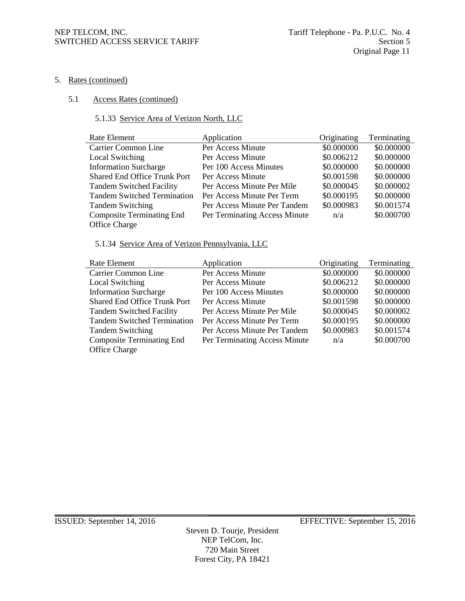#### 5. Rates (continued)

#### 5.1 Access Rates (continued)

# 5.1.33 Service Area of Verizon North, LLC

| Rate Element                        | Application                   | Originating | Terminating |
|-------------------------------------|-------------------------------|-------------|-------------|
| Carrier Common Line                 | Per Access Minute             | \$0.000000  | \$0.000000  |
| Local Switching                     | Per Access Minute             | \$0.006212  | \$0.000000  |
| <b>Information Surcharge</b>        | Per 100 Access Minutes        | \$0.000000  | \$0.000000  |
| <b>Shared End Office Trunk Port</b> | Per Access Minute             | \$0.001598  | \$0.000000  |
| <b>Tandem Switched Facility</b>     | Per Access Minute Per Mile    | \$0.000045  | \$0.000002  |
| <b>Tandem Switched Termination</b>  | Per Access Minute Per Term    | \$0.000195  | \$0.000000  |
| <b>Tandem Switching</b>             | Per Access Minute Per Tandem  | \$0.000983  | \$0.001574  |
| <b>Composite Terminating End</b>    | Per Terminating Access Minute | n/a         | \$0.000700  |
| Office Charge                       |                               |             |             |

# 5.1.34 Service Area of Verizon Pennsylvania, LLC

| Rate Element                        | Application                   | Originating | Terminating |
|-------------------------------------|-------------------------------|-------------|-------------|
| Carrier Common Line                 | Per Access Minute             | \$0.000000  | \$0.000000  |
| Local Switching                     | Per Access Minute             | \$0.006212  | \$0.000000  |
| <b>Information Surcharge</b>        | Per 100 Access Minutes        | \$0.000000  | \$0.000000  |
| <b>Shared End Office Trunk Port</b> | Per Access Minute             | \$0.001598  | \$0.000000  |
| <b>Tandem Switched Facility</b>     | Per Access Minute Per Mile    | \$0.000045  | \$0.000002  |
| <b>Tandem Switched Termination</b>  | Per Access Minute Per Term    | \$0.000195  | \$0.000000  |
| <b>Tandem Switching</b>             | Per Access Minute Per Tandem  | \$0.000983  | \$0.001574  |
| <b>Composite Terminating End</b>    | Per Terminating Access Minute | n/a         | \$0.000700  |
| Office Charge                       |                               |             |             |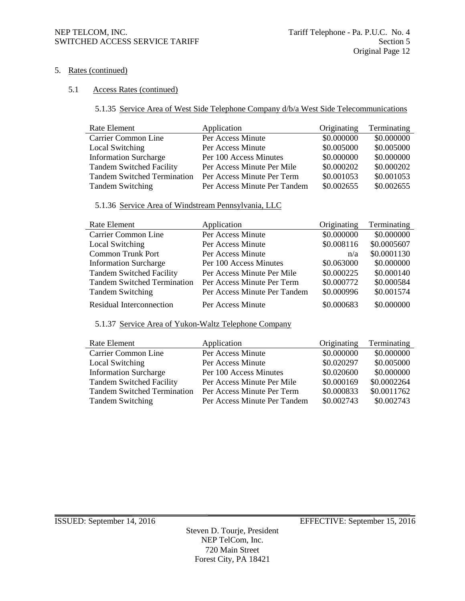#### NEP TELCOM, INC. Tariff Telephone - Pa. P.U.C. No. 4 SWITCHED ACCESS SERVICE TARIFF SECTION SECTION 5

### 5. Rates (continued)

#### 5.1 Access Rates (continued)

5.1.35 Service Area of West Side Telephone Company d/b/a West Side Telecommunications

| Rate Element                       | Application                  | Originating | Terminating |
|------------------------------------|------------------------------|-------------|-------------|
| <b>Carrier Common Line</b>         | Per Access Minute            | \$0.000000  | \$0.000000  |
| Local Switching                    | Per Access Minute            | \$0.005000  | \$0.005000  |
| <b>Information Surcharge</b>       | Per 100 Access Minutes       | \$0.000000  | \$0.000000  |
| <b>Tandem Switched Facility</b>    | Per Access Minute Per Mile   | \$0.000202  | \$0.000202  |
| <b>Tandem Switched Termination</b> | Per Access Minute Per Term   | \$0.001053  | \$0.001053  |
| <b>Tandem Switching</b>            | Per Access Minute Per Tandem | \$0.002655  | \$0.002655  |

# 5.1.36 Service Area of Windstream Pennsylvania, LLC

| Rate Element                       | Application                  | Originating | Terminating |
|------------------------------------|------------------------------|-------------|-------------|
| Carrier Common Line                | Per Access Minute            | \$0.000000  | \$0.000000  |
| <b>Local Switching</b>             | Per Access Minute            | \$0.008116  | \$0.0005607 |
| <b>Common Trunk Port</b>           | Per Access Minute            | n/a         | \$0.0001130 |
| <b>Information Surcharge</b>       | Per 100 Access Minutes       | \$0.063000  | \$0.000000  |
| <b>Tandem Switched Facility</b>    | Per Access Minute Per Mile   | \$0.000225  | \$0.000140  |
| <b>Tandem Switched Termination</b> | Per Access Minute Per Term   | \$0.000772  | \$0.000584  |
| <b>Tandem Switching</b>            | Per Access Minute Per Tandem | \$0.000996  | \$0.001574  |
| Residual Interconnection           | Per Access Minute            | \$0.000683  | \$0.000000  |

5.1.37 Service Area of Yukon-Waltz Telephone Company

| Rate Element                       | Application                  | Originating | Terminating |
|------------------------------------|------------------------------|-------------|-------------|
| Carrier Common Line                | Per Access Minute            | \$0.000000  | \$0.000000  |
| Local Switching                    | Per Access Minute            | \$0.020297  | \$0.005000  |
| <b>Information Surcharge</b>       | Per 100 Access Minutes       | \$0.020600  | \$0.000000  |
| <b>Tandem Switched Facility</b>    | Per Access Minute Per Mile   | \$0.000169  | \$0.0002264 |
| <b>Tandem Switched Termination</b> | Per Access Minute Per Term   | \$0.000833  | \$0.0011762 |
| <b>Tandem Switching</b>            | Per Access Minute Per Tandem | \$0.002743  | \$0.002743  |